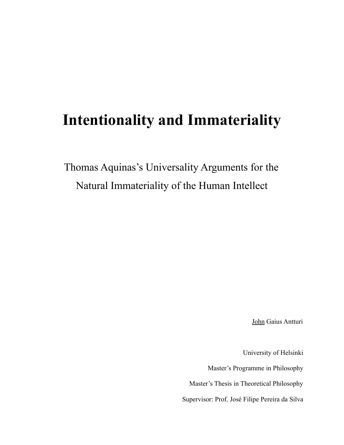# **Intentionality and Immateriality**

Thomas Aquinas's Universality Arguments for the Natural Immateriality of the Human Intellect

John Gaius Antturi

University of Helsinki

Master's Programme in Philosophy

Master's Thesis in Theoretical Philosophy

Supervisor: Prof. José Filipe Pereira da Silva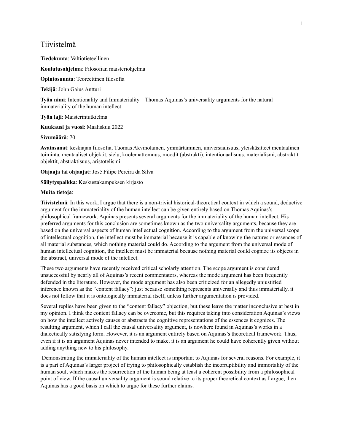## Tiivistelmä

**Tiedekunta**: Valtiotieteellinen

**Koulutusohjelma**: Filosofian maisteriohjelma

**Opintosuunta**: Teoreettinen filosofia

**Tekijä**: John Gaius Antturi

**Työn nimi**: Intentionality and Immateriality – Thomas Aquinas's universality arguments for the natural immateriality of the human intellect

**Työn laji**: Maisterintutkielma

**Kuukausi ja vuosi**: Maaliskuu 2022

**Sivumäärä**: 70

**Avainsanat**: keskiajan filosofia, Tuomas Akvinolainen, ymmärtäminen, universaalisuus, yleiskäsitteet mentaalinen toiminta, mentaaliset objektit, sielu, kuolemattomuus, moodit (abstrakti), intentionaalisuus, materialismi, abstraktit objektit, abstraktisuus, aristotelismi

**Ohjaaja tai ohjaajat:** José Filipe Pereira da Silva

**Säilytyspaikka**: Keskustakampuksen kirjasto

#### **Muita tietoja**:

**Tiivistelmä**: In this work, I argue that there is a non-trivial historical-theoretical context in which a sound, deductive argument for the immateriality of the human intellect can be given entirely based on Thomas Aquinas's philosophical framework. Aquinas presents several arguments for the immateriality of the human intellect. His preferred arguments for this conclusion are sometimes known as the two universality arguments, because they are based on the universal aspects of human intellectual cognition. According to the argument from the universal scope of intellectual cognition, the intellect must be immaterial because it is capable of knowing the natures or essences of all material substances, which nothing material could do. According to the argument from the universal mode of human intellectual cognition, the intellect must be immaterial because nothing material could cognize its objects in the abstract, universal mode of the intellect.

These two arguments have recently received critical scholarly attention. The scope argument is considered unsuccessful by nearly all of Aquinas's recent commentators, whereas the mode argument has been frequently defended in the literature. However, the mode argument has also been criticized for an allegedly unjustified inference known as the "content fallacy": just because something represents universally and thus immaterially, it does not follow that it is ontologically immaterial itself, unless further argumentation is provided.

Several replies have been given to the "content fallacy" objection, but these leave the matter inconclusive at best in my opinion. I think the content fallacy can be overcome, but this requires taking into consideration Aquinas's views on how the intellect actively causes or abstracts the cognitive representations of the essences it cognizes. The resulting argument, which I call the causal universality argument, is nowhere found in Aquinas's works in a dialectically satisfying form. However, it is an argument entirely based on Aquinas's theoretical framework. Thus, even if it is an argument Aquinas never intended to make, it is an argument he could have coherently given without adding anything new to his philosophy.

Demonstrating the immateriality of the human intellect is important to Aquinas for several reasons. For example, it is a part of Aquinas's larger project of trying to philosophically establish the incorruptibility and immortality of the human soul, which makes the resurrection of the human being at least a coherent possibility from a philosophical point of view. If the causal universality argument is sound relative to its proper theoretical context as I argue, then Aquinas has a good basis on which to argue for these further claims.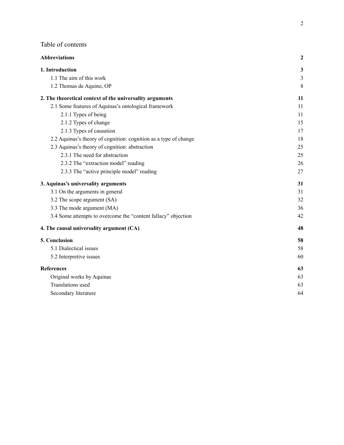# Table of contents

| <b>Abbreviations</b>                                             |                |
|------------------------------------------------------------------|----------------|
| 1. Introduction                                                  | 3              |
| 1.1 The aim of this work                                         | $\mathfrak{Z}$ |
| 1.2 Thomas de Aquino, OP                                         | 8              |
| 2. The theoretical context of the universality arguments         | 11             |
| 2.1 Some features of Aquinas's ontological framework             | 11             |
| 2.1.1 Types of being                                             | 11             |
| 2.1.2 Types of change                                            | 15             |
| 2.1.3 Types of causation                                         | 17             |
| 2.2 Aquinas's theory of cognition: cognition as a type of change | 18             |
| 2.3 Aquinas's theory of cognition: abstraction                   | 25             |
| 2.3.1 The need for abstraction                                   | 25             |
| 2.3.2 The "extraction model" reading                             | 26             |
| 2.3.3 The "active principle model" reading                       | 27             |
| 3. Aquinas's universality arguments                              | 31             |
| 3.1 On the arguments in general                                  | 31             |
| 3.2 The scope argument (SA)                                      | 32             |
| 3.3 The mode argument (MA)                                       | 36             |
| 3.4 Some attempts to overcome the "content fallacy" objection    | 42             |
| 4. The causal universality argument (CA)                         | 48             |
| 5. Conclusion                                                    | 58             |
| 5.1 Dialectical issues                                           | 58             |
| 5.2 Interpretive issues                                          | 60             |
| <b>References</b>                                                | 63             |
| Original works by Aquinas                                        | 63             |
| Translations used                                                | 63             |
| Secondary literature                                             | 64             |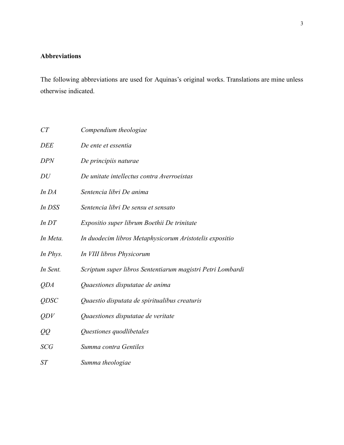# <span id="page-3-0"></span>**Abbreviations**

The following abbreviations are used for Aquinas's original works. Translations are mine unless otherwise indicated.

| CT         | Compendium theologiae                                      |
|------------|------------------------------------------------------------|
| DEE        | De ente et essentia                                        |
| <b>DPN</b> | De principiis naturae                                      |
| DU         | De unitate intellectus contra Averroeistas                 |
| In DA      | Sentencia libri De anima                                   |
| In DSS     | Sentencia libri De sensu et sensato                        |
| $In\,DT$   | Expositio super librum Boethii De trinitate                |
| In Meta.   | In duodecim libros Metaphysicorum Aristotelis expositio    |
| In Phys.   | In VIII libros Physicorum                                  |
| In Sent.   | Scriptum super libros Sententiarum magistri Petri Lombardi |
| QDA        | Quaestiones disputatae de anima                            |
| QDSC       | Quaestio disputata de spiritualibus creaturis              |
| QDV        | Quaestiones disputatae de veritate                         |
| QQ         | Questiones quodlibetales                                   |
| SCG        | Summa contra Gentiles                                      |
| ST         | Summa theologiae                                           |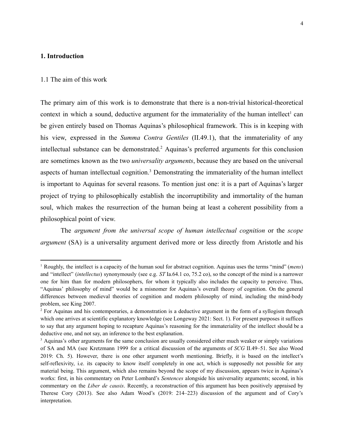#### <span id="page-4-0"></span>**1. Introduction**

#### <span id="page-4-1"></span>1.1 The aim of this work

The primary aim of this work is to demonstrate that there is a non-trivial historical-theoretical context in which a sound, deductive argument for the immateriality of the human intellect<sup>1</sup> can be given entirely based on Thomas Aquinas's philosophical framework. This is in keeping with his view, expressed in the *Summa Contra Gentiles* (II.49.1), that the immateriality of any intellectual substance can be demonstrated.<sup>2</sup> Aquinas's preferred arguments for this conclusion are sometimes known as the two *universality arguments*, because they are based on the universal aspects of human intellectual cognition.<sup>3</sup> Demonstrating the immateriality of the human intellect is important to Aquinas for several reasons. To mention just one: it is a part of Aquinas's larger project of trying to philosophically establish the incorruptibility and immortality of the human soul, which makes the resurrection of the human being at least a coherent possibility from a philosophical point of view.

The *argument from the universal scope of human intellectual cognition* or the *scope argument* (SA) is a universality argument derived more or less directly from Aristotle and his

<sup>1</sup> Roughly, the intellect is a capacity of the human soul for abstract cognition. Aquinas uses the terms "mind" (*mens*) and "intellect" (*intellectus*) synonymously (see e.g. *ST* Ia.64.1 co, 75.2 co), so the concept of the mind is a narrower one for him than for modern philosophers, for whom it typically also includes the capacity to perceive. Thus, "Aquinas' philosophy of mind" would be a misnomer for Aquinas's overall theory of cognition. On the general differences between medieval theories of cognition and modern philosophy of mind, including the mind-body problem, see King 2007.

<sup>&</sup>lt;sup>2</sup> For Aquinas and his contemporaries, a demonstration is a deductive argument in the form of a syllogism through which one arrives at scientific explanatory knowledge (see Longeway 2021: Sect. 1). For present purposes it suffices to say that any argument hoping to recapture Aquinas's reasoning for the immateriality of the intellect should be a deductive one, and not say, an inference to the best explanation.

<sup>&</sup>lt;sup>3</sup> Aquinas's other arguments for the same conclusion are usually considered either much weaker or simply variations of SA and MA (see Kretzmann 1999 for a critical discussion of the arguments of *SCG* II.49–51. See also Wood 2019: Ch. 5). However, there is one other argument worth mentioning. Briefly, it is based on the intellect's self-reflexivity, i.e. its capacity to know itself completely in one act, which is supposedly not possible for any material being. This argument, which also remains beyond the scope of my discussion, appears twice in Aquinas's works: first, in his commentary on Peter Lombard's *Sentences* alongside his universality arguments; second, in his commentary on the *Liber de causis*. Recently, a reconstruction of this argument has been positively appraised by Therese Cory (2013). See also Adam Wood's (2019: 214–223) discussion of the argument and of Cory's interpretation.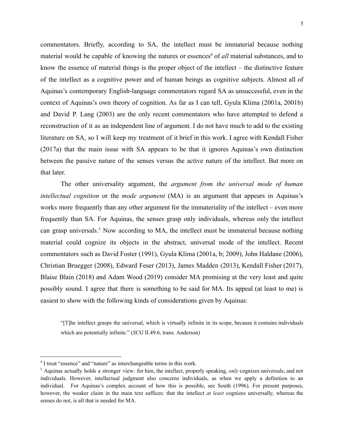commentators. Briefly, according to SA, the intellect must be immaterial because nothing material would be capable of knowing the natures or essences<sup>4</sup> of *all* material substances, and to know the essence of material things is the proper object of the intellect – the distinctive feature of the intellect as a cognitive power and of human beings as cognitive subjects. Almost all of Aquinas's contemporary English-language commentators regard SA as unsuccessful, even in the context of Aquinas's own theory of cognition. As far as I can tell, Gyula Klima (2001a, 2001b) and David P. Lang (2003) are the only recent commentators who have attempted to defend a reconstruction of it as an independent line of argument. I do not have much to add to the existing literature on SA, so I will keep my treatment of it brief in this work. I agree with Kendall Fisher (2017a) that the main issue with SA appears to be that it ignores Aquinas's own distinction between the passive nature of the senses versus the active nature of the intellect. But more on that later.

The other universality argument, the *argument from the universal mode of human intellectual cognition* or the *mode argument* (MA) is an argument that appears in Aquinas's works more frequently than any other argument for the immateriality of the intellect – even more frequently than SA. For Aquinas, the senses grasp only individuals, whereas only the intellect can grasp universals.<sup>5</sup> Now according to MA, the intellect must be immaterial because nothing material could cognize its objects in the abstract, universal mode of the intellect. Recent commentators such as David Foster (1991), Gyula Klima (2001a, b; 2009), John Haldane (2006), Christian Bruegger (2008), Edward Feser (2013), James Madden (2013), Kendall Fisher (2017), Blaise Blain (2018) and Adam Wood (2019) consider MA promising at the very least and quite possibly sound. I agree that there is something to be said for MA. Its appeal (at least to me) is easiest to show with the following kinds of considerations given by Aquinas:

"[T]he intellect grasps the universal, which is virtually infinite in its scope, because it contains individuals which are potentially infinite." (*SCG* II.49.6, trans. Anderson)

<sup>&</sup>lt;sup>4</sup> I treat "essence" and "nature" as interchangeable terms in this work.

<sup>&</sup>lt;sup>5</sup> Aquinas actually holds a stronger view: for him, the intellect, properly speaking, *only* cognizes universals, and not individuals. However, intellectual judgment also concerns individuals, as when we apply a definition to an individual. For Aquinas's complex account of how this is possible, see South (1996). For present purposes, however, the weaker claim in the main text suffices: that the intellect *at least* cognizes universally, whereas the senses do not, is all that is needed for MA.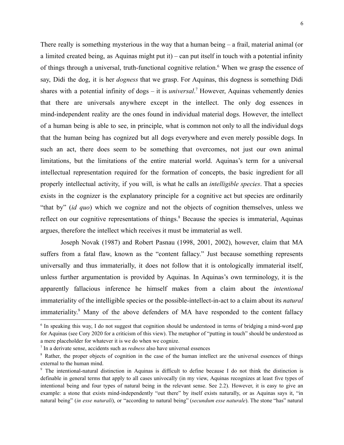There really is something mysterious in the way that a human being  $-$  a frail, material animal (or a limited created being, as Aquinas might put it) – can put itself in touch with a potential infinity of things through a universal, truth-functional cognitive relation.<sup>6</sup> When we grasp the essence of say, Didi the dog, it is her *dogness* that we grasp. For Aquinas, this dogness is something Didi shares with a potential infinity of dogs – it is *universal*. <sup>7</sup> However, Aquinas vehemently denies that there are universals anywhere except in the intellect. The only dog essences in mind-independent reality are the ones found in individual material dogs. However, the intellect of a human being is able to see, in principle, what is common not only to all the individual dogs that the human being has cognized but all dogs everywhere and even merely possible dogs. In such an act, there does seem to be something that overcomes, not just our own animal limitations, but the limitations of the entire material world. Aquinas's term for a universal intellectual representation required for the formation of concepts, the basic ingredient for all properly intellectual activity, if you will, is what he calls an *intelligible species*. That a species exists in the cognizer is the explanatory principle for a cognitive act but species are ordinarily "that by" (*id quo*) which we cognize and not the objects of cognition themselves, unless we reflect on our cognitive representations of things.<sup>8</sup> Because the species is immaterial, Aquinas argues, therefore the intellect which receives it must be immaterial as well.

Joseph Novak (1987) and Robert Pasnau (1998, 2001, 2002), however, claim that MA suffers from a fatal flaw, known as the "content fallacy." Just because something represents universally and thus immaterially, it does not follow that it is ontologically immaterial itself, unless further argumentation is provided by Aquinas. In Aquinas's own terminology, it is the apparently fallacious inference he himself makes from a claim about the *intentional* immateriality of the intelligible species or the possible-intellect-in-act to a claim about its *natural* immateriality.<sup>9</sup> Many of the above defenders of MA have responded to the content fallacy

<sup>&</sup>lt;sup>6</sup> In speaking this way, I do not suggest that cognition should be understood in terms of bridging a mind-word gap for Aquinas (see Cory 2020 for a criticism of this view). The metaphor of "putting in touch" should be understood as a mere placeholder for whatever it is we do when we cognize.

<sup>7</sup> In a derivate sense, accidents such as *redness* also have universal essences

<sup>&</sup>lt;sup>8</sup> Rather, the proper objects of cognition in the case of the human intellect are the universal essences of things external to the human mind.

<sup>&</sup>lt;sup>9</sup> The intentional-natural distinction in Aquinas is difficult to define because I do not think the distinction is definable in general terms that apply to all cases univocally (in my view, Aquinas recognizes at least five types of intentional being and four types of natural being in the relevant sense. See 2.2). However, it is easy to give an example: a stone that exists mind-independently "out there" by itself exists naturally, or as Aquinas says it, "in natural being" (*in esse naturali*), or "according to natural being" (*secundum esse naturale*). The stone "has" natural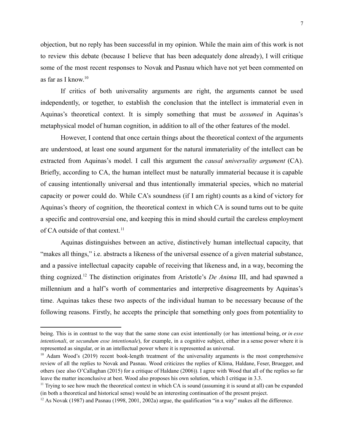objection, but no reply has been successful in my opinion. While the main aim of this work is not to review this debate (because I believe that has been adequately done already), I will critique some of the most recent responses to Novak and Pasnau which have not yet been commented on as far as I know. 10

If critics of both universality arguments are right, the arguments cannot be used independently, or together, to establish the conclusion that the intellect is immaterial even in Aquinas's theoretical context. It is simply something that must be *assumed* in Aquinas's metaphysical model of human cognition, in addition to all of the other features of the model.

However, I contend that once certain things about the theoretical context of the arguments are understood, at least one sound argument for the natural immateriality of the intellect can be extracted from Aquinas's model. I call this argument the *causal universality argument* (CA). Briefly, according to CA, the human intellect must be naturally immaterial because it is capable of causing intentionally universal and thus intentionally immaterial species, which no material capacity or power could do. While CA's soundness (if I am right) counts as a kind of victory for Aquinas's theory of cognition, the theoretical context in which CA is sound turns out to be quite a specific and controversial one, and keeping this in mind should curtail the careless employment of CA outside of that context.<sup>11</sup>

Aquinas distinguishes between an active, distinctively human intellectual capacity, that "makes all things," i.e. abstracts a likeness of the universal essence of a given material substance, and a passive intellectual capacity capable of receiving that likeness and, in a way, becoming the thing cognized.<sup>12</sup> The distinction originates from Aristotle's *De Anima* III, and had spawned a millennium and a half's worth of commentaries and interpretive disagreements by Aquinas's time. Aquinas takes these two aspects of the individual human to be necessary because of the following reasons. Firstly, he accepts the principle that something only goes from potentiality to

being. This is in contrast to the way that the same stone can exist intentionally (or has intentional being, or *in esse intentionali*, or *secundum esse intentionale*), for example, in a cognitive subject, either in a sense power where it is represented as singular, or in an intellectual power where it is represented as universal.

<sup>&</sup>lt;sup>10</sup> Adam Wood's (2019) recent book-length treatment of the universality arguments is the most comprehensive review of all the replies to Novak and Pasnau. Wood criticizes the replies of Klima, Haldane, Feser, Bruegger, and others (see also O'Callaghan (2015) for a critique of Haldane (2006)). I agree with Wood that all of the replies so far leave the matter inconclusive at best. Wood also proposes his own solution, which I critique in 3.3.

<sup>&</sup>lt;sup>11</sup> Trying to see how much the theoretical context in which CA is sound (assuming it is sound at all) can be expanded (in both a theoretical and historical sense) would be an interesting continuation of the present project.

<sup>&</sup>lt;sup>12</sup> As Novak (1987) and Pasnau (1998, 2001, 2002a) argue, the qualification "in a way" makes all the difference.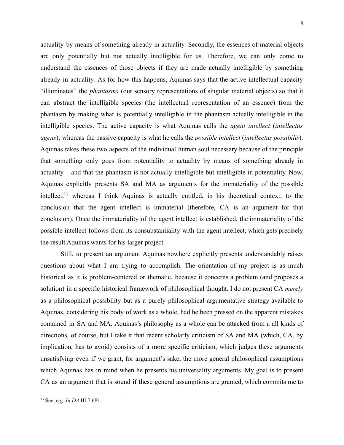actuality by means of something already in actuality. Secondly, the essences of material objects are only potentially but not actually intelligible for us. Therefore, we can only come to understand the essences of those objects if they are made actually intelligible by something already in actuality. As for how this happens, Aquinas says that the active intellectual capacity "illuminates" the *phantasms* (our sensory representations of singular material objects) so that it can abstract the intelligible species (the intellectual representation of an essence) from the phantasm by making what is potentially intelligible in the phantasm actually intelligible in the intelligible species. The active capacity is what Aquinas calls the *agent intellect* (*intellectus agens*), whereas the passive capacity is what he calls the *possible intellect* (*intellectus possibilis*). Aquinas takes these two aspects of the individual human soul necessary because of the principle that something only goes from potentiality to actuality by means of something already in actuality – and that the phantasm is not actually intelligible but intelligible in potentiality. Now, Aquinas explicitly presents SA and MA as arguments for the immateriality of the possible intellect, $13$  whereas I think Aquinas is actually entitled, in his theoretical context, to the conclusion that the agent intellect is immaterial (therefore, CA is an argument for that conclusion). Once the immateriality of the agent intellect is established, the immateriality of the possible intellect follows from its consubstantiality with the agent intellect, which gets precisely the result Aquinas wants for his larger project.

Still, to present an argument Aquinas nowhere explicitly presents understandably raises questions about what I am trying to accomplish. The orientation of my project is as much historical as it is problem-centered or thematic, because it concerns a problem (and proposes a solution) in a specific historical framework of philosophical thought. I do not present CA *merely* as a philosophical possibility but as a purely philosophical argumentative strategy available to Aquinas, considering his body of work as a whole, had he been pressed on the apparent mistakes contained in SA and MA. Aquinas's philosophy as a whole can be attacked from a all kinds of directions, of course, but I take it that recent scholarly criticism of SA and MA (which, CA, by implication, has to avoid) consists of a more specific criticism, which judges these arguments unsatisfying even if we grant, for argument's sake, the more general philosophical assumptions which Aquinas has in mind when he presents his universality arguments. My goal is to present CA as an argument that is sound if these general assumptions are granted, which commits me to

<sup>13</sup> See, e.g. *In DA* III.7.681.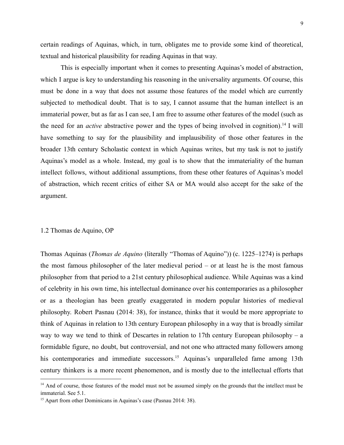certain readings of Aquinas, which, in turn, obligates me to provide some kind of theoretical, textual and historical plausibility for reading Aquinas in that way.

This is especially important when it comes to presenting Aquinas's model of abstraction, which I argue is key to understanding his reasoning in the universality arguments. Of course, this must be done in a way that does not assume those features of the model which are currently subjected to methodical doubt. That is to say, I cannot assume that the human intellect is an immaterial power, but as far as I can see, I am free to assume other features of the model (such as the need for an *active* abstractive power and the types of being involved in cognition).<sup>14</sup> I will have something to say for the plausibility and implausibility of those other features in the broader 13th century Scholastic context in which Aquinas writes, but my task is not to justify Aquinas's model as a whole. Instead, my goal is to show that the immateriality of the human intellect follows, without additional assumptions, from these other features of Aquinas's model of abstraction, which recent critics of either SA or MA would also accept for the sake of the argument.

#### <span id="page-9-0"></span>1.2 Thomas de Aquino, OP

Thomas Aquinas (*Thomas de Aquino* (literally "Thomas of Aquino")) (c. 1225–1274) is perhaps the most famous philosopher of the later medieval period – or at least he is the most famous philosopher from that period to a 21st century philosophical audience. While Aquinas was a kind of celebrity in his own time, his intellectual dominance over his contemporaries as a philosopher or as a theologian has been greatly exaggerated in modern popular histories of medieval philosophy. Robert Pasnau (2014: 38), for instance, thinks that it would be more appropriate to think of Aquinas in relation to 13th century European philosophy in a way that is broadly similar way to way we tend to think of Descartes in relation to 17th century European philosophy – a formidable figure, no doubt, but controversial, and not one who attracted many followers among his contemporaries and immediate successors.<sup>15</sup> Aquinas's unparalleled fame among 13th century thinkers is a more recent phenomenon, and is mostly due to the intellectual efforts that

<sup>&</sup>lt;sup>14</sup> And of course, those features of the model must not be assumed simply on the grounds that the intellect must be immaterial. See 5.1.

<sup>&</sup>lt;sup>15</sup> Apart from other Dominicans in Aquinas's case (Pasnau 2014: 38).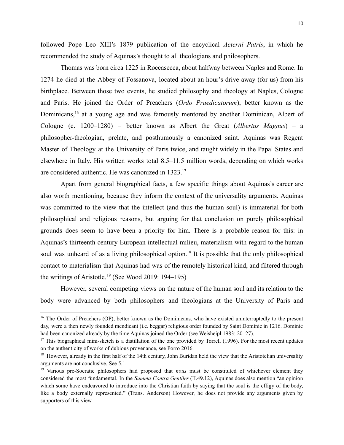followed Pope Leo XIII's 1879 publication of the encyclical *Aeterni Patris*, in which he recommended the study of Aquinas's thought to all theologians and philosophers.

Thomas was born circa 1225 in Roccasecca, about halfway between Naples and Rome. In 1274 he died at the Abbey of Fossanova, located about an hour's drive away (for us) from his birthplace. Between those two events, he studied philosophy and theology at Naples, Cologne and Paris. He joined the Order of Preachers (*Ordo Praedicatorum*), better known as the Dominicans,<sup>16</sup> at a young age and was famously mentored by another Dominican, Albert of Cologne (c. 1200–1280) – better known as Albert the Great (*Albertus Magnus*) – a philosopher-theologian, prelate, and posthumously a canonized saint. Aquinas was Regent Master of Theology at the University of Paris twice, and taught widely in the Papal States and elsewhere in Italy. His written works total 8.5–11.5 million words, depending on which works are considered authentic. He was canonized in 1323.<sup>17</sup>

Apart from general biographical facts, a few specific things about Aquinas's career are also worth mentioning, because they inform the context of the universality arguments. Aquinas was committed to the view that the intellect (and thus the human soul) is immaterial for both philosophical and religious reasons, but arguing for that conclusion on purely philosophical grounds does seem to have been a priority for him. There is a probable reason for this: in Aquinas's thirteenth century European intellectual milieu, materialism with regard to the human soul was unheard of as a living philosophical option.<sup>18</sup> It is possible that the only philosophical contact to materialism that Aquinas had was of the remotely historical kind, and filtered through the writings of Aristotle.<sup>19</sup> (See Wood 2019: 194–195)

However, several competing views on the nature of the human soul and its relation to the body were advanced by both philosophers and theologians at the University of Paris and

<sup>&</sup>lt;sup>16</sup> The Order of Preachers (OP), better known as the Dominicans, who have existed uninterruptedly to the present day, were a then newly founded mendicant (i.e. beggar) religious order founded by Saint Dominic in 1216. Dominic had been canonized already by the time Aquinas joined the Order (see Weisheipl 1983: 20–27).

<sup>&</sup>lt;sup>17</sup> This biographical mini-sketch is a distillation of the one provided by Torrell (1996). For the most recent updates on the authenticity of works of dubious provenance, see Porro 2016.

<sup>&</sup>lt;sup>18</sup> However, already in the first half of the 14th century, John Buridan held the view that the Aristotelian universality arguments are not conclusive. See 5.1.

<sup>&</sup>lt;sup>19</sup> Various pre-Socratic philosophers had proposed that *nous* must be constituted of whichever element they considered the most fundamental. In the *Summa Contra Gentiles* (II.49.12), Aquinas does also mention "an opinion which some have endeavored to introduce into the Christian faith by saying that the soul is the effigy of the body, like a body externally represented." (Trans. Anderson) However, he does not provide any arguments given by supporters of this view.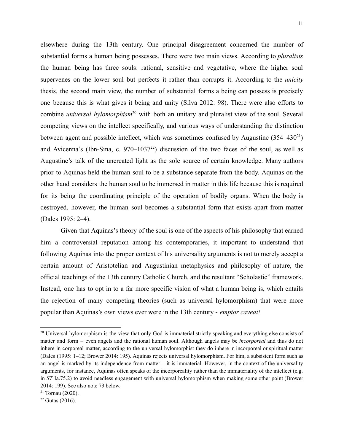elsewhere during the 13th century. One principal disagreement concerned the number of substantial forms a human being possesses. There were two main views. According to *pluralists* the human being has three souls: rational, sensitive and vegetative, where the higher soul supervenes on the lower soul but perfects it rather than corrupts it. According to the *unicity* thesis, the second main view, the number of substantial forms a being can possess is precisely one because this is what gives it being and unity (Silva 2012: 98). There were also efforts to combine *universal hylomorphism*<sup>20</sup> with both an unitary and pluralist view of the soul. Several competing views on the intellect specifically, and various ways of understanding the distinction between agent and possible intellect, which was sometimes confused by Augustine  $(354-430<sup>21</sup>)$ and Avicenna's (Ibn-Sina, c. 970–1037<sup>22</sup>) discussion of the two faces of the soul, as well as Augustine's talk of the uncreated light as the sole source of certain knowledge. Many authors prior to Aquinas held the human soul to be a substance separate from the body. Aquinas on the other hand considers the human soul to be immersed in matter in this life because this is required for its being the coordinating principle of the operation of bodily organs. When the body is destroyed, however, the human soul becomes a substantial form that exists apart from matter (Dales 1995: 2–4).

Given that Aquinas's theory of the soul is one of the aspects of his philosophy that earned him a controversial reputation among his contemporaries, it important to understand that following Aquinas into the proper context of his universality arguments is not to merely accept a certain amount of Aristotelian and Augustinian metaphysics and philosophy of nature, the official teachings of the 13th century Catholic Church, and the resultant "Scholastic" framework. Instead, one has to opt in to a far more specific vision of what a human being is, which entails the rejection of many competing theories (such as universal hylomorphism) that were more popular than Aquinas's own views ever were in the 13th century - *emptor caveat!*

<sup>&</sup>lt;sup>20</sup> Universal hylomorphism is the view that only God is immaterial strictly speaking and everything else consists of matter and form – even angels and the rational human soul. Although angels may be *incorporeal* and thus do not inhere in corporeal matter, according to the universal hylomorphist they do inhere in incorporeal or spiritual matter (Dales (1995: 1–12; Brower 2014: 195). Aquinas rejects universal hylomorphism. For him, a subsistent form such as an angel is marked by its independence from matter – it is immaterial. However, in the context of the universality arguments, for instance, Aquinas often speaks of the incorporeality rather than the immateriality of the intellect (e.g. in *ST* Ia.75.2) to avoid needless engagement with universal hylomorphism when making some other point (Brower 2014: 199). See also note 73 below.

 $21$  Tornau (2020).

 $22$  Gutas (2016).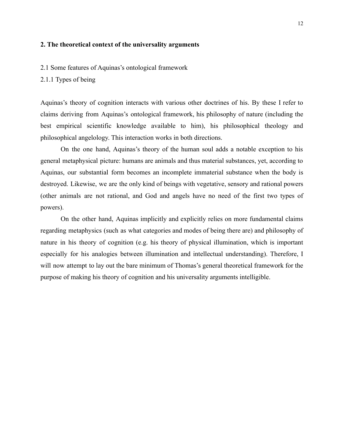#### <span id="page-12-0"></span>**2. The theoretical context of the universality arguments**

#### <span id="page-12-1"></span>2.1 Some features of Aquinas's ontological framework

#### <span id="page-12-2"></span>2.1.1 Types of being

Aquinas's theory of cognition interacts with various other doctrines of his. By these I refer to claims deriving from Aquinas's ontological framework, his philosophy of nature (including the best empirical scientific knowledge available to him), his philosophical theology and philosophical angelology. This interaction works in both directions.

On the one hand, Aquinas's theory of the human soul adds a notable exception to his general metaphysical picture: humans are animals and thus material substances, yet, according to Aquinas, our substantial form becomes an incomplete immaterial substance when the body is destroyed. Likewise, we are the only kind of beings with vegetative, sensory and rational powers (other animals are not rational, and God and angels have no need of the first two types of powers).

On the other hand, Aquinas implicitly and explicitly relies on more fundamental claims regarding metaphysics (such as what categories and modes of being there are) and philosophy of nature in his theory of cognition (e.g. his theory of physical illumination, which is important especially for his analogies between illumination and intellectual understanding). Therefore, I will now attempt to lay out the bare minimum of Thomas's general theoretical framework for the purpose of making his theory of cognition and his universality arguments intelligible.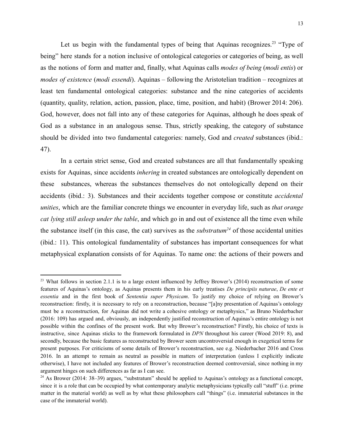Let us begin with the fundamental types of being that Aquinas recognizes.<sup>23</sup> "Type of being" here stands for a notion inclusive of ontological categories or categories of being, as well as the notions of form and matter and, finally, what Aquinas calls *modes of being* (*modi entis*) or *modes of existence* (*modi essendi*). Aquinas – following the Aristotelian tradition – recognizes at least ten fundamental ontological categories: substance and the nine categories of accidents (quantity, quality, relation, action, passion, place, time, position, and habit) (Brower 2014: 206). God, however, does not fall into any of these categories for Aquinas, although he does speak of God as a substance in an analogous sense. Thus, strictly speaking, the category of substance should be divided into two fundamental categories: namely, God and *created* substances (ibid.: 47).

In a certain strict sense, God and created substances are all that fundamentally speaking exists for Aquinas, since accidents *inhering* in created substances are ontologically dependent on these substances, whereas the substances themselves do not ontologically depend on their accidents (ibid.: 3). Substances and their accidents together compose or constitute *accidental unities*, which are the familiar concrete things we encounter in everyday life, such as *that orange cat lying still asleep under the table*, and which go in and out of existence all the time even while the substance itself (in this case, the cat) survives as the *substratum<sup>24</sup>* of those accidental unities (ibid.: 11). This ontological fundamentality of substances has important consequences for what metaphysical explanation consists of for Aquinas. To name one: the actions of their powers and

<sup>&</sup>lt;sup>23</sup> What follows in section 2.1.1 is to a large extent influenced by Jeffrey Brower's (2014) reconstruction of some features of Aquinas's ontology, as Aquinas presents them in his early treatises *De principiis naturae*, *De ente et essentia* and in the first book of *Sententia super Physicam*. To justify my choice of relying on Brower's reconstruction: firstly, it is necessary to rely on a reconstruction, because "[a]ny presentation of Aquinas's ontology must be a reconstruction, for Aquinas did not write a cohesive ontology or metaphysics," as Bruno Niederbacher (2016: 109) has argued and, obviously, an independently justified reconstruction of Aquinas's entire ontology is not possible within the confines of the present work. But why Brower's reconstruction? Firstly, his choice of texts is instructive, since Aquinas sticks to the framework formulated in *DPN* throughout his career (Wood 2019: 8), and secondly, because the basic features as reconstructed by Brower seem uncontroversial enough in exegetical terms for present purposes. For criticisms of some details of Brower's reconstruction, see e.g. Niederbacher 2016 and Cross 2016. In an attempt to remain as neutral as possible in matters of interpretation (unless I explicitly indicate otherwise), I have not included any features of Brower's reconstruction deemed controversial, since nothing in my argument hinges on such differences as far as I can see.

<sup>&</sup>lt;sup>24</sup> As Brower (2014: 38–39) argues, "substratum" should be applied to Aquinas's ontology as a functional concept, since it is a role that can be occupied by what contemporary analytic metaphysicians typically call "stuff" (i.e. prime matter in the material world) as well as by what these philosophers call "things" (i.e. immaterial substances in the case of the immaterial world).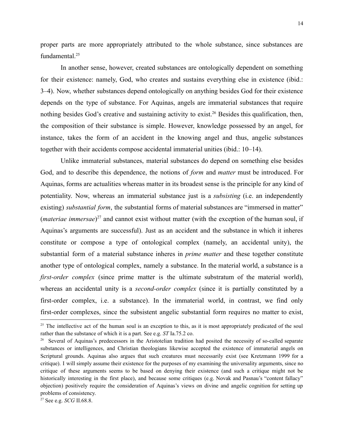proper parts are more appropriately attributed to the whole substance, since substances are fundamental.<sup>25</sup>

In another sense, however, created substances are ontologically dependent on something for their existence: namely, God, who creates and sustains everything else in existence (ibid.: 3–4). Now, whether substances depend ontologically on anything besides God for their existence depends on the type of substance. For Aquinas, angels are immaterial substances that require nothing besides God's creative and sustaining activity to exist.<sup>26</sup> Besides this qualification, then, the composition of their substance is simple. However, knowledge possessed by an angel, for instance, takes the form of an accident in the knowing angel and thus, angelic substances together with their accidents compose accidental immaterial unities (ibid.: 10–14).

Unlike immaterial substances, material substances do depend on something else besides God, and to describe this dependence, the notions of *form* and *matter* must be introduced. For Aquinas, forms are actualities whereas matter in its broadest sense is the principle for any kind of potentiality. Now, whereas an immaterial substance just is a *subsisting* (i.e. an independently existing) *substantial form*, the substantial forms of material substances are "immersed in matter" (*materiae immersae*) <sup>27</sup> and cannot exist without matter (with the exception of the human soul, if Aquinas's arguments are successful). Just as an accident and the substance in which it inheres constitute or compose a type of ontological complex (namely, an accidental unity), the substantial form of a material substance inheres in *prime matter* and these together constitute another type of ontological complex, namely a substance. In the material world, a substance is a *first-order complex* (since prime matter is the ultimate substratum of the material world), whereas an accidental unity is a *second-order complex* (since it is partially constituted by a first-order complex, i.e. a substance). In the immaterial world, in contrast, we find only first-order complexes, since the subsistent angelic substantial form requires no matter to exist,

 $25$  The intellective act of the human soul is an exception to this, as it is most appropriately predicated of the soul rather than the substance of which it is a part. See e.g. *ST* Ia.75.2 co.

<sup>&</sup>lt;sup>26</sup> Several of Aquinas's predecessors in the Aristotelian tradition had posited the necessity of so-called separate substances or intelligences, and Christian theologians likewise accepted the existence of immaterial angels on Scriptural grounds. Aquinas also argues that such creatures must necessarily exist (see Kretzmann 1999 for a critique). I will simply assume their existence for the purposes of my examining the universality arguments, since no critique of these arguments seems to be based on denying their existence (and such a critique might not be historically interesting in the first place), and because some critiques (e.g. Novak and Pasnau's "content fallacy" objection) positively require the consideration of Aquinas's views on divine and angelic cognition for setting up problems of consistency.

<sup>27</sup> See e.g. *SCG* II.68.8.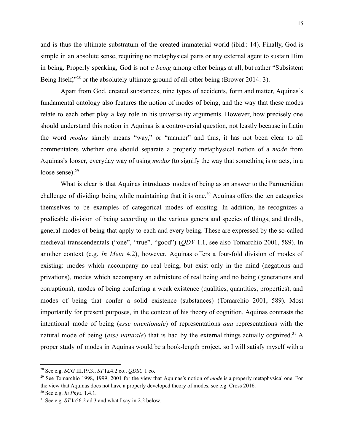and is thus the ultimate substratum of the created immaterial world (ibid.: 14). Finally, God is simple in an absolute sense, requiring no metaphysical parts or any external agent to sustain Him in being. Properly speaking, God is not *a being* among other beings at all, but rather "Subsistent Being Itself,"<sup>28</sup> or the absolutely ultimate ground of all other being (Brower 2014: 3).

Apart from God, created substances, nine types of accidents, form and matter, Aquinas's fundamental ontology also features the notion of modes of being, and the way that these modes relate to each other play a key role in his universality arguments. However, how precisely one should understand this notion in Aquinas is a controversial question, not leastly because in Latin the word *modus* simply means "way," or "manner" and thus, it has not been clear to all commentators whether one should separate a properly metaphysical notion of a *mode* from Aquinas's looser, everyday way of using *modus* (to signify the way that something is or acts, in a loose sense).<sup>29</sup>

What is clear is that Aquinas introduces modes of being as an answer to the Parmenidian challenge of dividing being while maintaining that it is one.<sup>30</sup> Aquinas offers the ten categories themselves to be examples of categorical modes of existing. In addition, he recognizes a predicable division of being according to the various genera and species of things, and thirdly, general modes of being that apply to each and every being. These are expressed by the so-called medieval transcendentals ("one", "true", "good") (*QDV* 1.1, see also Tomarchio 2001, 589). In another context (e.g. *In Meta* 4.2), however, Aquinas offers a four-fold division of modes of existing: modes which accompany no real being, but exist only in the mind (negations and privations), modes which accompany an admixture of real being and no being (generations and corruptions), modes of being conferring a weak existence (qualities, quantities, properties), and modes of being that confer a solid existence (substances) (Tomarchio 2001, 589). Most importantly for present purposes, in the context of his theory of cognition, Aquinas contrasts the intentional mode of being (*esse intentionale*) of representations *qua* representations with the natural mode of being *(esse naturale)* that is had by the external things actually cognized.<sup>31</sup> A proper study of modes in Aquinas would be a book-length project, so I will satisfy myself with a

<sup>28</sup> See e.g. *SCG* III.19.3., *ST* Ia.4.2 co., *QDSC* 1 co.

<sup>30</sup> See e.g. *In Phys.* 1.4.1. <sup>29</sup> See Tomarchio 1998, 1999, 2001 for the view that Aquinas's notion of *mode* is a properly metaphysical one. For the view that Aquinas does not have a properly developed theory of modes, see e.g. Cross 2016.

<sup>31</sup> See e.g. *ST* Ia56.2 ad 3 and what I say in 2.2 below.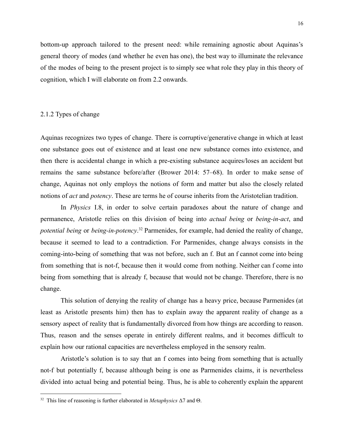bottom-up approach tailored to the present need: while remaining agnostic about Aquinas's general theory of modes (and whether he even has one), the best way to illuminate the relevance of the modes of being to the present project is to simply see what role they play in this theory of cognition, which I will elaborate on from 2.2 onwards.

### <span id="page-16-0"></span>2.1.2 Types of change

Aquinas recognizes two types of change. There is corruptive/generative change in which at least one substance goes out of existence and at least one new substance comes into existence, and then there is accidental change in which a pre-existing substance acquires/loses an accident but remains the same substance before/after (Brower 2014: 57–68). In order to make sense of change, Aquinas not only employs the notions of form and matter but also the closely related notions of *act* and *potency*. These are terms he of course inherits from the Aristotelian tradition.

In *Physics* I.8, in order to solve certain paradoxes about the nature of change and permanence, Aristotle relies on this division of being into *actual being* or *being-in-act*, and *potential being* or *being-in-potency*. <sup>32</sup> Parmenides, for example, had denied the reality of change, because it seemed to lead to a contradiction. For Parmenides, change always consists in the coming-into-being of something that was not before, such an f. But an f cannot come into being from something that is not-f, because then it would come from nothing. Neither can f come into being from something that is already f, because that would not be change. Therefore, there is no change.

This solution of denying the reality of change has a heavy price, because Parmenides (at least as Aristotle presents him) then has to explain away the apparent reality of change as a sensory aspect of reality that is fundamentally divorced from how things are according to reason. Thus, reason and the senses operate in entirely different realms, and it becomes difficult to explain how our rational capacities are nevertheless employed in the sensory realm.

Aristotle's solution is to say that an f comes into being from something that is actually not-f but potentially f, because although being is one as Parmenides claims, it is nevertheless divided into actual being and potential being. Thus, he is able to coherently explain the apparent

<sup>32</sup> This line of reasoning is further elaborated in *Metaphysics* Δ7 and Θ.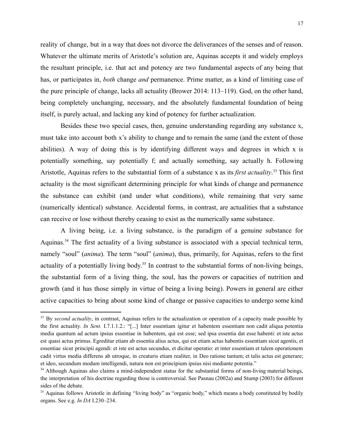reality of change, but in a way that does not divorce the deliverances of the senses and of reason. Whatever the ultimate merits of Aristotle's solution are, Aquinas accepts it and widely employs the resultant principle, i.e. that act and potency are two fundamental aspects of any being that has, or participates in, *both* change *and* permanence. Prime matter, as a kind of limiting case of the pure principle of change, lacks all actuality (Brower 2014: 113–119). God, on the other hand, being completely unchanging, necessary, and the absolutely fundamental foundation of being itself, is purely actual, and lacking any kind of potency for further actualization.

Besides these two special cases, then, genuine understanding regarding any substance x, must take into account both x's ability to change and to remain the same (and the extent of those abilities). A way of doing this is by identifying different ways and degrees in which x is potentially something, say potentially f; and actually something, say actually h. Following Aristotle, Aquinas refers to the substantial form of a substance x as its *first actuality*. <sup>33</sup> This first actuality is the most significant determining principle for what kinds of change and permanence the substance can exhibit (and under what conditions), while remaining that very same (numerically identical) substance. Accidental forms, in contrast, are actualities that a substance can receive or lose without thereby ceasing to exist as the numerically same substance.

A living being, i.e. a living substance, is the paradigm of a genuine substance for Aquinas.<sup>34</sup> The first actuality of a living substance is associated with a special technical term, namely "soul" (*anima*). The term "soul" (*anima*), thus, primarily, for Aquinas, refers to the first actuality of a potentially living body.<sup>35</sup> In contrast to the substantial forms of non-living beings, the substantial form of a living thing, the soul, has the powers or capacities of nutrition and growth (and it has those simply in virtue of being a living being). Powers in general are either active capacities to bring about some kind of change or passive capacities to undergo some kind

<sup>&</sup>lt;sup>33</sup> By *second actuality*, in contrast, Aquinas refers to the actualization or operation of a capacity made possible by the first actuality. *In Sent.* I.7.1.1.2.: "[...] Inter essentiam igitur et habentem essentiam non cadit aliqua potentia media quantum ad actum ipsius essentiae in habentem, qui est esse; sed ipsa essentia dat esse habenti: et iste actus est quasi actus primus. Egreditur etiam ab essentia alius actus, qui est etiam actus habentis essentiam sicut agentis, et essentiae sicut principii agendi: et iste est actus secundus, et dicitur operatio: et inter essentiam et talem operationem cadit virtus media differens ab utroque, in creaturis etiam realiter, in Deo ratione tantum; et talis actus est generare; et ideo, secundum modum intelligendi, natura non est principium ipsius nisi mediante potentia."

<sup>&</sup>lt;sup>34</sup> Although Aquinas also claims a mind-independent status for the substantial forms of non-living material beings, the interpretation of his doctrine regarding those is controversial. See Pasnau (2002a) and Stump (2003) for different sides of the debate.

<sup>&</sup>lt;sup>35</sup> Aquinas follows Aristotle in defining "living body" as "organic body," which means a body constituted by bodily organs. See e.g. *In DA* I.230–234.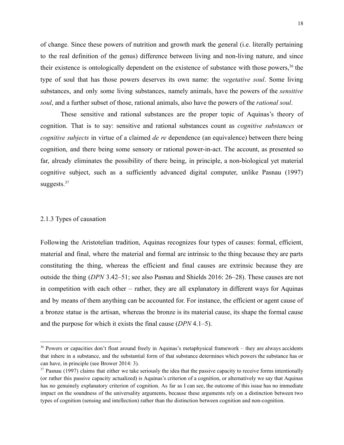of change. Since these powers of nutrition and growth mark the general (i.e. literally pertaining to the real definition of the genus) difference between living and non-living nature, and since their existence is ontologically dependent on the existence of substance with those powers,<sup>36</sup> the type of soul that has those powers deserves its own name: the *vegetative soul*. Some living substances, and only some living substances, namely animals, have the powers of the *sensitive soul*, and a further subset of those, rational animals, also have the powers of the *rational soul*.

These sensitive and rational substances are the proper topic of Aquinas's theory of cognition. That is to say: sensitive and rational substances count as *cognitive substances* or *cognitive subjects* in virtue of a claimed *de re* dependence (an equivalence) between there being cognition, and there being some sensory or rational power-in-act. The account, as presented so far, already eliminates the possibility of there being, in principle, a non-biological yet material cognitive subject, such as a sufficiently advanced digital computer, unlike Pasnau (1997) suggests.<sup>37</sup>

#### <span id="page-18-0"></span>2.1.3 Types of causation

Following the Aristotelian tradition, Aquinas recognizes four types of causes: formal, efficient, material and final, where the material and formal are intrinsic to the thing because they are parts constituting the thing, whereas the efficient and final causes are extrinsic because they are outside the thing (*DPN* 3.42–51; see also Pasnau and Shields 2016: 26–28). These causes are not in competition with each other – rather, they are all explanatory in different ways for Aquinas and by means of them anything can be accounted for. For instance, the efficient or agent cause of a bronze statue is the artisan, whereas the bronze is its material cause, its shape the formal cause and the purpose for which it exists the final cause (*DPN* 4.1–5).

<sup>&</sup>lt;sup>36</sup> Powers or capacities don't float around freely in Aquinas's metaphysical framework – they are always accidents that inhere in a substance, and the substantial form of that substance determines which powers the substance has or can have, in principle (see Brower 2014: 3).

 $37$  Pasnau (1997) claims that either we take seriously the idea that the passive capacity to receive forms intentionally (or rather this passive capacity actualized) is Aquinas's criterion of a cognition, or alternatively we say that Aquinas has no genuinely explanatory criterion of cognition. As far as I can see, the outcome of this issue has no immediate impact on the soundness of the universality arguments, because these arguments rely on a distinction between two types of cognition (sensing and intellection) rather than the distinction between cognition and non-cognition.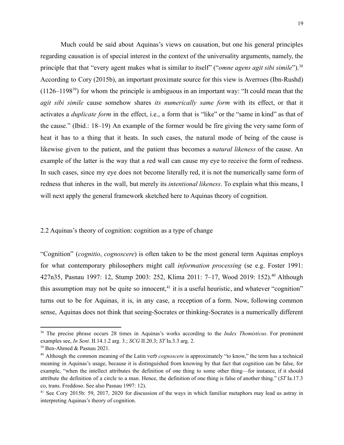Much could be said about Aquinas's views on causation, but one his general principles regarding causation is of special interest in the context of the universality arguments, namely, the principle that that "every agent makes what is similar to itself" ("*omne agens agit sibi simile*").<sup>38</sup> According to Cory (2015b), an important proximate source for this view is Averroes (Ibn-Rushd)  $(1126-1198<sup>39</sup>)$  for whom the principle is ambiguous in an important way: "It could mean that the *agit sibi simile* cause somehow shares *its numerically same form* with its effect, or that it activates a *duplicate form* in the effect, i.e., a form that is "like" or the "same in kind" as that of the cause." (Ibid.: 18–19) An example of the former would be fire giving the very same form of heat it has to a thing that it heats. In such cases, the natural mode of being of the cause is likewise given to the patient, and the patient thus becomes a *natural likeness* of the cause. An example of the latter is the way that a red wall can cause my eye to receive the form of redness. In such cases, since my eye does not become literally red, it is not the numerically same form of redness that inheres in the wall, but merely its *intentional likeness*. To explain what this means, I will next apply the general framework sketched here to Aquinas theory of cognition.

#### <span id="page-19-0"></span>2.2 Aquinas's theory of cognition: cognition as a type of change

"Cognition" (*cognitio*, *cognoscere*) is often taken to be the most general term Aquinas employs for what contemporary philosophers might call *information processing* (se e.g. Foster 1991: 427n35, Pasnau 1997: 12, Stump 2003: 252, Klima 2011: 7–17, Wood 2019: 152).<sup>40</sup> Although this assumption may not be quite so innocent, $4<sup>1</sup>$  it is a useful heuristic, and whatever "cognition" turns out to be for Aquinas, it is, in any case, a reception of a form. Now, following common sense, Aquinas does not think that seeing-Socrates or thinking-Socrates is a numerically different

<sup>38</sup> The precise phrase occurs 28 times in Aquinas's works according to the *Index Thomisticus*. For prominent examples see, *In Sent*. II.14.1.2 arg. 3.; *SCG* II.20.3; *ST* Ia.3.3 arg. 2.

<sup>39</sup> Ben-Ahmed & Pasnau 2021.

<sup>40</sup> Although the common meaning of the Latin verb *cognoscere* is approximately "to know," the term has a technical meaning in Aquinas's usage, because it is distinguished from knowing by that fact that cognition can be false, for example, "when the intellect attributes the definition of one thing to some other thing—for instance, if it should attribute the definition of a circle to a man. Hence, the definition of one thing is false of another thing." (*ST* Ia.17.3 co, trans. Freddoso. See also Pasnau 1997: 12).

<sup>&</sup>lt;sup>41</sup> See Cory 2015b: 59, 2017, 2020 for discussion of the ways in which familiar metaphors may lead us astray in interpreting Aquinas's theory of cognition.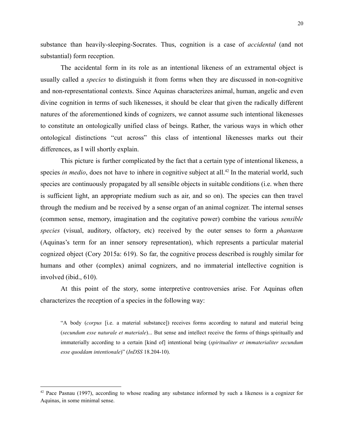substance than heavily-sleeping-Socrates. Thus, cognition is a case of *accidental* (and not substantial) form reception.

The accidental form in its role as an intentional likeness of an extramental object is usually called a *species* to distinguish it from forms when they are discussed in non-cognitive and non-representational contexts. Since Aquinas characterizes animal, human, angelic and even divine cognition in terms of such likenesses, it should be clear that given the radically different natures of the aforementioned kinds of cognizers, we cannot assume such intentional likenesses to constitute an ontologically unified class of beings. Rather, the various ways in which other ontological distinctions "cut across" this class of intentional likenesses marks out their differences, as I will shortly explain.

This picture is further complicated by the fact that a certain type of intentional likeness, a species *in medio*, does not have to inhere in cognitive subject at all.<sup>42</sup> In the material world, such species are continuously propagated by all sensible objects in suitable conditions (i.e. when there is sufficient light, an appropriate medium such as air, and so on). The species can then travel through the medium and be received by a sense organ of an animal cognizer. The internal senses (common sense, memory, imagination and the cogitative power) combine the various *sensible species* (visual, auditory, olfactory, etc) received by the outer senses to form a *phantasm* (Aquinas's term for an inner sensory representation), which represents a particular material cognized object (Cory 2015a: 619). So far, the cognitive process described is roughly similar for humans and other (complex) animal cognizers, and no immaterial intellective cognition is involved (ibid., 610).

At this point of the story, some interpretive controversies arise. For Aquinas often characterizes the reception of a species in the following way:

"A body (*corpus* [i.e. a material substance]) receives forms according to natural and material being (*secundum esse naturale et materiale*)... But sense and intellect receive the forms of things spiritually and immaterially according to a certain [kind of] intentional being (*spiritualiter et immaterialiter secundum esse quoddam intentionale*)" (*InDSS* 18.204-10).

<sup>&</sup>lt;sup>42</sup> Pace Pasnau (1997), according to whose reading any substance informed by such a likeness is a cognizer for Aquinas, in some minimal sense.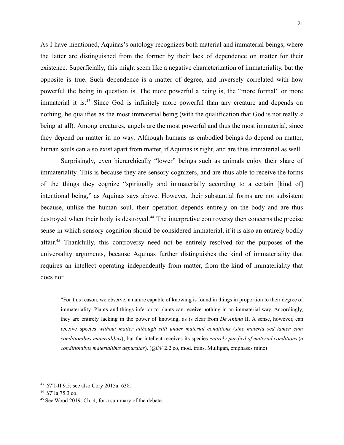As I have mentioned, Aquinas's ontology recognizes both material and immaterial beings, where the latter are distinguished from the former by their lack of dependence on matter for their existence. Superficially, this might seem like a negative characterization of immateriality, but the opposite is true. Such dependence is a matter of degree, and inversely correlated with how powerful the being in question is. The more powerful a being is, the "more formal" or more immaterial it is.<sup>43</sup> Since God is infinitely more powerful than any creature and depends on nothing, he qualifies as the most immaterial being (with the qualification that God is not really *a* being at all). Among creatures, angels are the most powerful and thus the most immaterial, since they depend on matter in no way. Although humans as embodied beings do depend on matter, human souls can also exist apart from matter, if Aquinas is right, and are thus immaterial as well.

Surprisingly, even hierarchically "lower" beings such as animals enjoy their share of immateriality. This is because they are sensory cognizers, and are thus able to receive the forms of the things they cognize "spiritually and immaterially according to a certain [kind of] intentional being," as Aquinas says above. However, their substantial forms are not subsistent because, unlike the human soul, their operation depends entirely on the body and are thus destroyed when their body is destroyed.<sup>44</sup> The interpretive controversy then concerns the precise sense in which sensory cognition should be considered immaterial, if it is also an entirely bodily affair.<sup>45</sup> Thankfully, this controversy need not be entirely resolved for the purposes of the universality arguments, because Aquinas further distinguishes the kind of immateriality that requires an intellect operating independently from matter, from the kind of immateriality that does not:

"For this reason, we observe, a nature capable of knowing is found in things in proportion to their degree of immateriality. Plants and things inferior to plants can receive nothing in an immaterial way. Accordingly, they are entirely lacking in the power of knowing, as is clear from *De Anima* II. A sense, however, can receive species *without matter although still under material conditions* (*sine materia sed tamen cum conditionibus materialibus*); but the intellect receives its species *entirely purified of material conditions* (*a conditionibus materialibus depuratas*). (*QDV* 2.2 co, mod. trans. Mulligan, emphases mine)

<sup>43</sup> *ST* I-II.9.5; see also Cory 2015a: 638.

<sup>44</sup> *ST* Ia.75.3 co.

<sup>45</sup> See Wood 2019: Ch. 4, for a summary of the debate.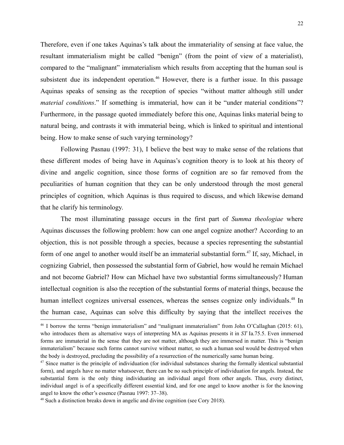Therefore, even if one takes Aquinas's talk about the immateriality of sensing at face value, the resultant immaterialism might be called "benign" (from the point of view of a materialist), compared to the "malignant" immaterialism which results from accepting that the human soul is subsistent due its independent operation.<sup>46</sup> However, there is a further issue. In this passage Aquinas speaks of sensing as the reception of species "without matter although still under *material conditions*." If something is immaterial, how can it be "under material conditions"? Furthermore, in the passage quoted immediately before this one, Aquinas links material being to natural being, and contrasts it with immaterial being, which is linked to spiritual and intentional being. How to make sense of such varying terminology?

Following Pasnau (1997: 31), I believe the best way to make sense of the relations that these different modes of being have in Aquinas's cognition theory is to look at his theory of divine and angelic cognition, since those forms of cognition are so far removed from the peculiarities of human cognition that they can be only understood through the most general principles of cognition, which Aquinas is thus required to discuss, and which likewise demand that he clarify his terminology.

The most illuminating passage occurs in the first part of *Summa theologiae* where Aquinas discusses the following problem: how can one angel cognize another? According to an objection, this is not possible through a species, because a species representing the substantial form of one angel to another would itself be an immaterial substantial form.<sup>47</sup> If, say, Michael, in cognizing Gabriel, then possessed the substantial form of Gabriel, how would he remain Michael and not become Gabriel? How can Michael have two substantial forms simultaneously? Human intellectual cognition is also the reception of the substantial forms of material things, because the human intellect cognizes universal essences, whereas the senses cognize only individuals.<sup>48</sup> In the human case, Aquinas can solve this difficulty by saying that the intellect receives the

<sup>&</sup>lt;sup>46</sup> I borrow the terms "benign immaterialism" and "malignant immaterialism" from John O'Callaghan (2015: 61), who introduces them as alternative ways of interpreting MA as Aquinas presents it in *ST* Ia.75.5. Even immersed forms are immaterial in the sense that they are not matter, although they are immersed in matter. This is "benign immaterialism" because such forms cannot survive without matter, so such a human soul would be destroyed when the body is destroyed, precluding the possibility of a resurrection of the numerically same human being.

<sup>&</sup>lt;sup>47</sup> Since matter is the principle of individuation (for individual substances sharing the formally identical substantial form), and angels have no matter whatsoever, there can be no such principle of individuation for angels. Instead, the substantial form is the only thing individuating an individual angel from other angels. Thus, every distinct, individual angel is of a specifically different essential kind, and for one angel to know another is for the knowing angel to know the other's essence (Pasnau 1997: 37–38).

<sup>48</sup> Such a distinction breaks down in angelic and divine cognition (see Cory 2018).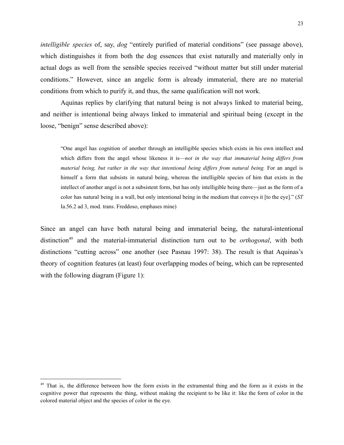*intelligible species* of, say, *dog* "entirely purified of material conditions" (see passage above), which distinguishes it from both the dog essences that exist naturally and materially only in actual dogs as well from the sensible species received "without matter but still under material conditions." However, since an angelic form is already immaterial, there are no material conditions from which to purify it, and thus, the same qualification will not work.

Aquinas replies by clarifying that natural being is not always linked to material being, and neither is intentional being always linked to immaterial and spiritual being (except in the loose, "benign" sense described above):

"One angel has cognition of another through an intelligible species which exists in his own intellect and which differs from the angel whose likeness it is—*not in the way that immaterial being dif ers from material being, but rather in the way that intentional being dif ers from natural being.* For an angel is himself a form that subsists in natural being, whereas the intelligible species of him that exists in the intellect of another angel is not a subsistent form, but has only intelligible being there—just as the form of a color has natural being in a wall, but only intentional being in the medium that conveys it [to the eye]." (*ST* Ia.56.2 ad 3, mod. trans. Freddoso, emphases mine)

Since an angel can have both natural being and immaterial being, the natural-intentional distinction<sup>49</sup> and the material-immaterial distinction turn out to be *orthogonal*, with both distinctions "cutting across" one another (see Pasnau 1997: 38). The result is that Aquinas's theory of cognition features (at least) four overlapping modes of being, which can be represented with the following diagram (Figure 1):

<sup>&</sup>lt;sup>49</sup> That is, the difference between how the form exists in the extramental thing and the form as it exists in the cognitive power that represents the thing, without making the recipient to be like it: like the form of color in the colored material object and the species of color in the eye.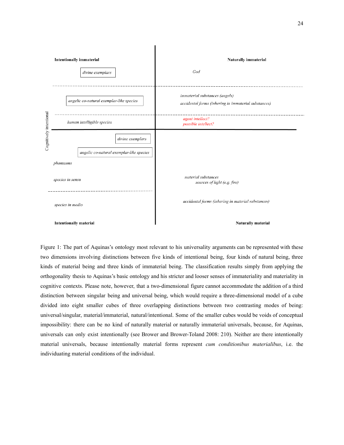

Figure 1: The part of Aquinas's ontology most relevant to his universality arguments can be represented with these two dimensions involving distinctions between five kinds of intentional being, four kinds of natural being, three kinds of material being and three kinds of immaterial being. The classification results simply from applying the orthogonality thesis to Aquinas's basic ontology and his stricter and looser senses of immateriality and materiality in cognitive contexts. Please note, however, that a two-dimensional figure cannot accommodate the addition of a third distinction between singular being and universal being, which would require a three-dimensional model of a cube divided into eight smaller cubes of three overlapping distinctions between two contrasting modes of being: universal/singular, material/immaterial, natural/intentional. Some of the smaller cubes would be voids of conceptual impossibility: there can be no kind of naturally material or naturally immaterial universals, because, for Aquinas, universals can only exist intentionally (see Brower and Brower-Toland 2008: 210). Neither are there intentionally material universals, because intentionally material forms represent *cum conditionibus materialibus*, i.e. the individuating material conditions of the individual.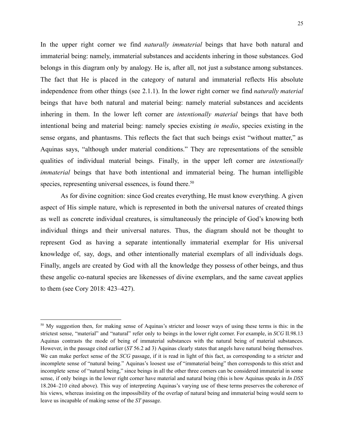In the upper right corner we find *naturally immaterial* beings that have both natural and immaterial being: namely, immaterial substances and accidents inhering in those substances. God belongs in this diagram only by analogy. He is, after all, not just a substance among substances. The fact that He is placed in the category of natural and immaterial reflects His absolute independence from other things (see 2.1.1). In the lower right corner we find *naturally material* beings that have both natural and material being: namely material substances and accidents inhering in them. In the lower left corner are *intentionally material* beings that have both intentional being and material being: namely species existing *in medio*, species existing in the sense organs, and phantasms. This reflects the fact that such beings exist "without matter," as Aquinas says, "although under material conditions." They are representations of the sensible qualities of individual material beings. Finally, in the upper left corner are *intentionally immaterial* beings that have both intentional and immaterial being. The human intelligible species, representing universal essences, is found there.<sup>50</sup>

As for divine cognition: since God creates everything, He must know everything. A given aspect of His simple nature, which is represented in both the universal natures of created things as well as concrete individual creatures, is simultaneously the principle of God's knowing both individual things and their universal natures. Thus, the diagram should not be thought to represent God as having a separate intentionally immaterial exemplar for His universal knowledge of, say, dogs, and other intentionally material exemplars of all individuals dogs. Finally, angels are created by God with all the knowledge they possess of other beings, and thus these angelic co-natural species are likenesses of divine exemplars, and the same caveat applies to them (see Cory 2018: 423–427).

<sup>&</sup>lt;sup>50</sup> My suggestion then, for making sense of Aquinas's stricter and looser ways of using these terms is this: in the strictest sense, "material" and "natural" refer only to beings in the lower right corner. For example, in *SCG* II.98.13 Aquinas contrasts the mode of being of immaterial substances with the natural being of material substances. However, in the passage cited earlier (*ST* 56.2 ad 3) Aquinas clearly states that angels have natural being themselves. We can make perfect sense of the *SCG* passage, if it is read in light of this fact, as corresponding to a stricter and incomplete sense of "natural being." Aquinas's loosest use of "immaterial being" then corresponds to this strict and incomplete sense of "natural being," since beings in all the other three corners can be considered immaterial in some sense, if only beings in the lower right corner have material and natural being (this is how Aquinas speaks in *In DSS* 18.204–210 cited above). This way of interpreting Aquinas's varying use of these terms preserves the coherence of his views, whereas insisting on the impossibility of the overlap of natural being and immaterial being would seem to leave us incapable of making sense of the *ST* passage.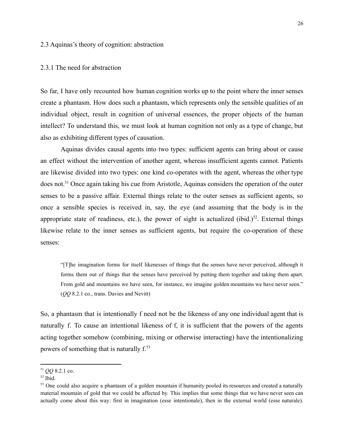#### <span id="page-26-0"></span>2.3 Aquinas's theory of cognition: abstraction

#### <span id="page-26-1"></span>2.3.1 The need for abstraction

So far, I have only recounted how human cognition works up to the point where the inner senses create a phantasm. How does such a phantasm, which represents only the sensible qualities of an individual object, result in cognition of universal essences, the proper objects of the human intellect? To understand this, we must look at human cognition not only as a type of change, but also as exhibiting different types of causation.

Aquinas divides causal agents into two types: sufficient agents can bring about or cause an effect without the intervention of another agent, whereas insufficient agents cannot. Patients are likewise divided into two types: one kind co-operates with the agent, whereas the other type does not.<sup>51</sup> Once again taking his cue from Aristotle, Aquinas considers the operation of the outer senses to be a passive affair. External things relate to the outer senses as sufficient agents, so once a sensible species is received in, say, the eye (and assuming that the body is in the appropriate state of readiness, etc.), the power of sight is actualized (ibid.) $52$ . External things likewise relate to the inner senses as sufficient agents, but require the co-operation of these senses:

"[T]he imagination forms for itself likenesses of things that the senses have never perceived, although it forms them out of things that the senses have perceived by putting them together and taking them apart. From gold and mountains we have seen, for instance, we imagine golden mountains we have never seen." (*QQ* 8.2.1 co., trans. Davies and Nevitt)

So, a phantasm that is intentionally f need not be the likeness of any one individual agent that is naturally f. To cause an intentional likeness of f, it is sufficient that the powers of the agents acting together somehow (combining, mixing or otherwise interacting) have the intentionalizing powers of something that is naturally  $f<sub>0</sub>$ <sup>53</sup>

<sup>51</sup> *QQ* 8.2.1 co.

 $52$  Ibid.

<sup>&</sup>lt;sup>53</sup> One could also acquire a phantasm of a golden mountain if humanity pooled its resources and created a naturally material mountain of gold that we could be affected by. This implies that some things that we have never seen can actually come about this way: first in imagination (esse intentionale), then in the external world (esse naturale).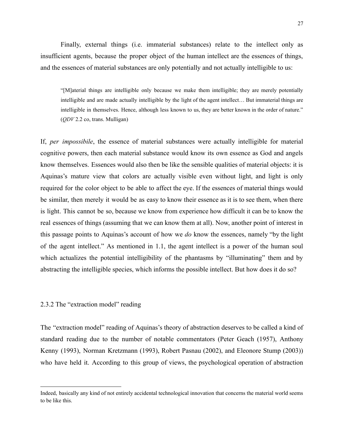Finally, external things (i.e. immaterial substances) relate to the intellect only as insufficient agents, because the proper object of the human intellect are the essences of things, and the essences of material substances are only potentially and not actually intelligible to us:

"[M]aterial things are intelligible only because we make them intelligible; they are merely potentially intelligible and are made actually intelligible by the light of the agent intellect… But immaterial things are intelligible in themselves. Hence, although less known to us, they are better known in the order of nature." (*QDV* 2.2 co, trans. Mulligan)

If, *per impossibile*, the essence of material substances were actually intelligible for material cognitive powers, then each material substance would know its own essence as God and angels know themselves. Essences would also then be like the sensible qualities of material objects: it is Aquinas's mature view that colors are actually visible even without light, and light is only required for the color object to be able to affect the eye. If the essences of material things would be similar, then merely it would be as easy to know their essence as it is to see them, when there is light. This cannot be so, because we know from experience how difficult it can be to know the real essences of things (assuming that we can know them at all). Now, another point of interest in this passage points to Aquinas's account of how we *do* know the essences, namely "by the light of the agent intellect." As mentioned in 1.1, the agent intellect is a power of the human soul which actualizes the potential intelligibility of the phantasms by "illuminating" them and by abstracting the intelligible species, which informs the possible intellect. But how does it do so?

#### <span id="page-27-0"></span>2.3.2 The "extraction model" reading

The "extraction model" reading of Aquinas's theory of abstraction deserves to be called a kind of standard reading due to the number of notable commentators (Peter Geach (1957), Anthony Kenny (1993), Norman Kretzmann (1993), Robert Pasnau (2002), and Eleonore Stump (2003)) who have held it. According to this group of views, the psychological operation of abstraction

Indeed, basically any kind of not entirely accidental technological innovation that concerns the material world seems to be like this.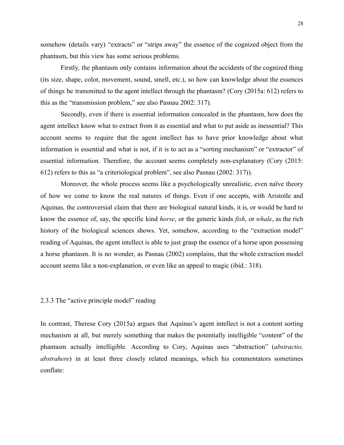somehow (details vary) "extracts" or "strips away" the essence of the cognized object from the phantasm, but this view has some serious problems.

Firstly, the phantasm only contains information about the accidents of the cognized thing (its size, shape, color, movement, sound, smell, etc.), so how can knowledge about the essences of things be transmitted to the agent intellect through the phantasm? (Cory (2015a: 612) refers to this as the "transmission problem," see also Pasnau 2002: 317).

Secondly, even if there is essential information concealed in the phantasm, how does the agent intellect know what to extract from it as essential and what to put aside as inessential? This account seems to require that the agent intellect has to have prior knowledge about what information is essential and what is not, if it is to act as a "sorting mechanism" or "extractor" of essential information. Therefore, the account seems completely non-explanatory (Cory (2015: 612) refers to this as "a criteriological problem", see also Pasnau (2002: 317)).

Moreover, the whole process seems like a psychologically unrealistic, even naïve theory of how we come to know the real natures of things. Even if one accepts, with Aristotle and Aquinas, the controversial claim that there are biological natural kinds, it is, or would be hard to know the essence of, say, the specific kind *horse*, or the generic kinds *fish*, or *whale*, as the rich history of the biological sciences shows. Yet, somehow, according to the "extraction model" reading of Aquinas, the agent intellect is able to just grasp the essence of a horse upon possessing a horse phantasm. It is no wonder, as Pasnau (2002) complains, that the whole extraction model account seems like a non-explanation, or even like an appeal to magic (ibid.: 318).

#### <span id="page-28-0"></span>2.3.3 The "active principle model" reading

In contrast, Therese Cory (2015a) argues that Aquinas's agent intellect is not a content sorting mechanism at all, but merely something that makes the potentially intelligible "content" of the phantasm actually intelligible. According to Cory, Aquinas uses "abstraction" (*abstractio, abstrahere*) in at least three closely related meanings, which his commentators sometimes conflate: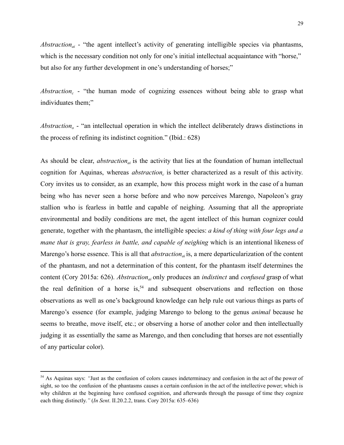*Abstraction<sub>ai</sub>* - "the agent intellect's activity of generating intelligible species via phantasms, which is the necessary condition not only for one's initial intellectual acquaintance with "horse," but also for any further development in one's understanding of horses;"

*Abstraction<sub>c</sub>* - "the human mode of cognizing essences without being able to grasp what individuates them;"

*Abstraction<sup>o</sup>* - "an intellectual operation in which the intellect deliberately draws distinctions in the process of refining its indistinct cognition." (Ibid.: 628)

As should be clear, *abstractionai* is the activity that lies at the foundation of human intellectual cognition for Aquinas, whereas *abstraction<sup>c</sup>* is better characterized as a result of this activity. Cory invites us to consider, as an example, how this process might work in the case of a human being who has never seen a horse before and who now perceives Marengo, Napoleon's gray stallion who is fearless in battle and capable of neighing. Assuming that all the appropriate environmental and bodily conditions are met, the agent intellect of this human cognizer could generate, together with the phantasm, the intelligible species: *a kind of thing with four legs and a mane that is gray, fearless in battle, and capable of neighing* which is an intentional likeness of Marengo's horse essence. This is all that *abstractionai* is, a mere departicularization of the content of the phantasm, and not a determination of this content, for the phantasm itself determines the content (Cory 2015a: 626). *Abstractionai* only produces an *indistinct* and *confused* grasp of what the real definition of a horse is,<sup>54</sup> and subsequent observations and reflection on those observations as well as one's background knowledge can help rule out various things as parts of Marengo's essence (for example, judging Marengo to belong to the genus *animal* because he seems to breathe, move itself, etc.; or observing a horse of another color and then intellectually judging it as essentially the same as Marengo, and then concluding that horses are not essentially of any particular color).

<sup>&</sup>lt;sup>54</sup> As Aquinas says: "Just as the confusion of colors causes indeterminacy and confusion in the act of the power of sight, so too the confusion of the phantasms causes a certain confusion in the act of the intellective power; which is why children at the beginning have confused cognition, and afterwards through the passage of time they cognize each thing distinctly.*"* (*In Sent*. II.20.2.2, trans. Cory 2015a: 635–636)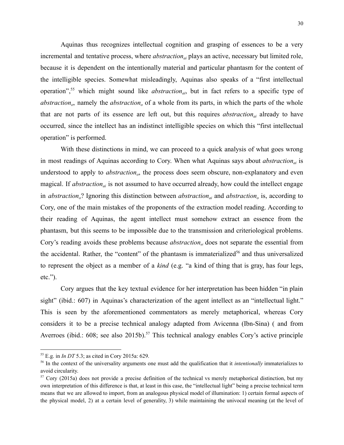Aquinas thus recognizes intellectual cognition and grasping of essences to be a very incremental and tentative process, where *abstractionai* plays an active, necessary but limited role, because it is dependent on the intentionally material and particular phantasm for the content of the intelligible species. Somewhat misleadingly, Aquinas also speaks of a "first intellectual operation",<sup>55</sup> which might sound like *abstractionai* , but in fact refers to a specific type of *abstraction<sup>o</sup>* , namely the *abstraction<sup>o</sup>* of a whole from its parts, in which the parts of the whole that are not parts of its essence are left out, but this requires *abstractionai* already to have occurred, since the intellect has an indistinct intelligible species on which this "first intellectual operation" is performed.

With these distinctions in mind, we can proceed to a quick analysis of what goes wrong in most readings of Aquinas according to Cory. When what Aquinas says about *abstractionai* is understood to apply to *abstraction*<sub>o</sub>, the process does seem obscure, non-explanatory and even magical. If *abstractionai* is not assumed to have occurred already, how could the intellect engage in *abstractiono*? Ignoring this distinction between *abstractionai* and *abstraction<sup>o</sup>* is, according to Cory, one of the main mistakes of the proponents of the extraction model reading. According to their reading of Aquinas, the agent intellect must somehow extract an essence from the phantasm, but this seems to be impossible due to the transmission and criteriological problems. Cory's reading avoids these problems because *abstractionai* does not separate the essential from the accidental. Rather, the "content" of the phantasm is immaterialized<sup>56</sup> and thus universalized to represent the object as a member of a *kind* (e.g. "a kind of thing that is gray, has four legs, etc.").

Cory argues that the key textual evidence for her interpretation has been hidden "in plain sight" (ibid.: 607) in Aquinas's characterization of the agent intellect as an "intellectual light." This is seen by the aforementioned commentators as merely metaphorical, whereas Cory considers it to be a precise technical analogy adapted from Avicenna (Ibn-Sina) ( and from Averroes (ibid.:  $608$ ; see also  $2015b$ ).<sup>57</sup> This technical analogy enables Cory's active principle

<sup>55</sup> E.g. in *In DT* 5.3; as cited in Cory 2015a: 629.

<sup>56</sup> In the context of the universality arguments one must add the qualification that it *intentionally* immaterializes to avoid circularity.

 $57$  Cory (2015a) does not provide a precise definition of the technical vs merely metaphorical distinction, but my own interpretation of this difference is that, at least in this case, the "intellectual light" being a precise technical term means that we are allowed to import, from an analogous physical model of illumination: 1) certain formal aspects of the physical model, 2) at a certain level of generality, 3) while maintaining the univocal meaning (at the level of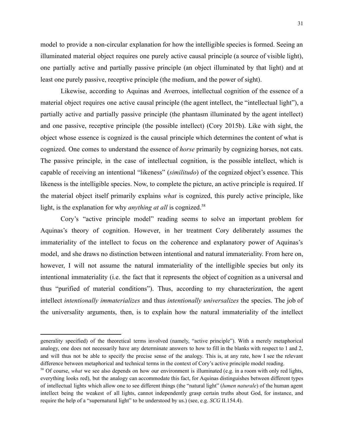model to provide a non-circular explanation for how the intelligible species is formed. Seeing an illuminated material object requires one purely active causal principle (a source of visible light), one partially active and partially passive principle (an object illuminated by that light) and at least one purely passive, receptive principle (the medium, and the power of sight).

Likewise, according to Aquinas and Averroes, intellectual cognition of the essence of a material object requires one active causal principle (the agent intellect, the "intellectual light"), a partially active and partially passive principle (the phantasm illuminated by the agent intellect) and one passive, receptive principle (the possible intellect) (Cory 2015b). Like with sight, the object whose essence is cognized is the causal principle which determines the content of what is cognized. One comes to understand the essence of *horse* primarily by cognizing horses, not cats. The passive principle, in the case of intellectual cognition, is the possible intellect, which is capable of receiving an intentional "likeness" (*similitudo*) of the cognized object's essence. This likeness is the intelligible species. Now, to complete the picture, an active principle is required. If the material object itself primarily explains *what* is cognized, this purely active principle, like light, is the explanation for why *anything at all* is cognized.<sup>58</sup>

Cory's "active principle model" reading seems to solve an important problem for Aquinas's theory of cognition. However, in her treatment Cory deliberately assumes the immateriality of the intellect to focus on the coherence and explanatory power of Aquinas's model, and she draws no distinction between intentional and natural immateriality. From here on, however, I will not assume the natural immateriality of the intelligible species but only its intentional immateriality (i.e. the fact that it represents the object of cognition as a universal and thus "purified of material conditions"). Thus, according to my characterization, the agent intellect *intentionally immaterializes* and thus *intentionally universalizes* the species. The job of the universality arguments, then, is to explain how the natural immateriality of the intellect

generality specified) of the theoretical terms involved (namely, "active principle"). With a merely metaphorical analogy, one does not necessarily have any determinate answers to how to fill in the blanks with respect to 1 and 2, and will thus not be able to specify the precise sense of the analogy. This is, at any rate, how I see the relevant difference between metaphorical and technical terms in the context of Cory's active principle model reading.

<sup>&</sup>lt;sup>58</sup> Of course, *what* we see also depends on how our environment is illuminated (e.g. in a room with only red lights, everything looks red), but the analogy can accommodate this fact, for Aquinas distinguishes between different types of intellectual lights which allow one to see different things (the "natural light" (*lumen naturale*) of the human agent intellect being the weakest of all lights, cannot independently grasp certain truths about God, for instance, and require the help of a "supernatural light" to be understood by us.) (see, e.g. *SCG* II.154.4).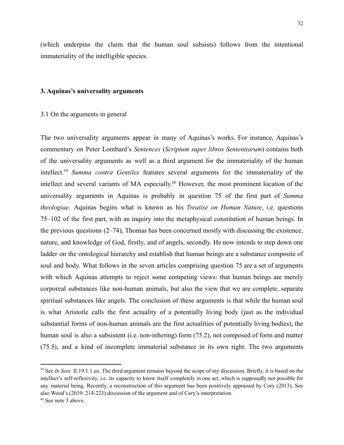(which underpins the claim that the human soul subsists) follows from the intentional immateriality of the intelligible species.

#### <span id="page-32-0"></span>**3. Aquinas's universality arguments**

#### <span id="page-32-1"></span>3.1 On the arguments in general

The two universality arguments appear in many of Aquinas's works. For instance, Aquinas's commentary on Peter Lombard's *Sentences* (*Scriptum super libros Sententiarum*) contains both of the universality arguments as well as a third argument for the immateriality of the human intellect.<sup>59</sup> *Summa contra Gentiles* features several arguments for the immateriality of the intellect and several variants of MA especially. <sup>60</sup> However, the most prominent location of the universality arguments in Aquinas is probably in question 75 of the first part of *Summa theologiae.* Aquinas begins what is known as his *Treatise on Human Nature*, i.e. questions 75–102 of the first part, with an inquiry into the metaphysical constitution of human beings. In the previous questions (2–74), Thomas has been concerned mostly with discussing the existence, nature, and knowledge of God, firstly, and of angels, secondly. He now intends to step down one ladder on the ontological hierarchy and establish that human beings are a substance composite of soul and body. What follows in the seven articles comprising question 75 are a set of arguments with which Aquinas attempts to reject some competing views: that human beings are merely corporeal substances like non-human animals, but also the view that we are complete, separate spiritual substances like angels. The conclusion of these arguments is that while the human soul is what Aristotle calls the first actuality of a potentially living body (just as the individual substantial forms of non-human animals are the first actualities of potentially living bodies), the human soul is also a subsistent (i.e. non-inhering) form (75.2), not composed of form and matter (75.5), and a kind of incomplete immaterial substance in its own right. The two arguments

<sup>&</sup>lt;sup>59</sup> See *In Sent.* II.19.1.1 co. The third argument remains beyond the scope of my discussion. Briefly, it is based on the intellect's self-reflexivity, i.e. its capacity to know itself completely in one act, which is supposedly not possible for any material being. Recently, a reconstruction of this argument has been positively appraised by Cory (2013). See also Wood's (2019: 214-223) discussion of the argument and of Cory's interpretation.

<sup>60</sup> See note 3 above.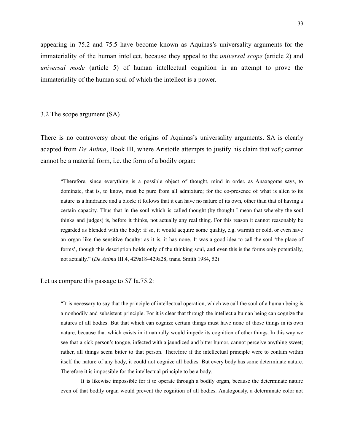appearing in 75.2 and 75.5 have become known as Aquinas's universality arguments for the immateriality of the human intellect, because they appeal to the *universal scope* (article 2) and *universal mode* (article 5) of human intellectual cognition in an attempt to prove the immateriality of the human soul of which the intellect is a power.

#### <span id="page-33-0"></span>3.2 The scope argument (SA)

There is no controversy about the origins of Aquinas's universality arguments. SA is clearly adapted from *De Anima*, Book III, where Aristotle attempts to justify his claim that *νοῦς* cannot cannot be a material form, i.e. the form of a bodily organ:

"Therefore, since everything is a possible object of thought, mind in order, as Anaxagoras says, to dominate, that is, to know, must be pure from all admixture; for the co-presence of what is alien to its nature is a hindrance and a block: it follows that it can have no nature of its own, other than that of having a certain capacity. Thus that in the soul which is called thought (by thought I mean that whereby the soul thinks and judges) is, before it thinks, not actually any real thing. For this reason it cannot reasonably be regarded as blended with the body: if so, it would acquire some quality, e.g. warmth or cold, or even have an organ like the sensitive faculty: as it is, it has none. It was a good idea to call the soul 'the place of forms', though this description holds only of the thinking soul, and even this is the forms only potentially, not actually." (*De Anima* III.4, 429a18–429a28, trans. Smith 1984, 52)

Let us compare this passage to *ST* Ia.75.2:

"It is necessary to say that the principle of intellectual operation, which we call the soul of a human being is a nonbodily and subsistent principle. For it is clear that through the intellect a human being can cognize the natures of all bodies. But that which can cognize certain things must have none of those things in its own nature, because that which exists in it naturally would impede its cognition of other things. In this way we see that a sick person's tongue, infected with a jaundiced and bitter humor, cannot perceive anything sweet; rather, all things seem bitter to that person. Therefore if the intellectual principle were to contain within itself the nature of any body, it could not cognize all bodies. But every body has some determinate nature. Therefore it is impossible for the intellectual principle to be a body.

It is likewise impossible for it to operate through a bodily organ, because the determinate nature even of that bodily organ would prevent the cognition of all bodies. Analogously, a determinate color not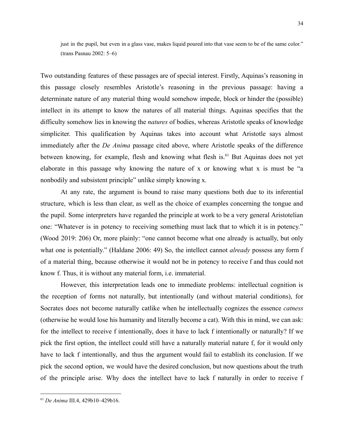just in the pupil, but even in a glass vase, makes liquid poured into that vase seem to be of the same color." (trans Pasnau 2002: 5–6)

Two outstanding features of these passages are of special interest. Firstly, Aquinas's reasoning in this passage closely resembles Aristotle's reasoning in the previous passage: having a determinate nature of any material thing would somehow impede, block or hinder the (possible) intellect in its attempt to know the natures of all material things. Aquinas specifies that the difficulty somehow lies in knowing the *natures* of bodies, whereas Aristotle speaks of knowledge simpliciter. This qualification by Aquinas takes into account what Aristotle says almost immediately after the *De Anima* passage cited above, where Aristotle speaks of the difference between knowing, for example, flesh and knowing what flesh is.<sup>61</sup> But Aquinas does not yet elaborate in this passage why knowing the nature of x or knowing what x is must be "a nonbodily and subsistent principle" unlike simply knowing x.

At any rate, the argument is bound to raise many questions both due to its inferential structure, which is less than clear, as well as the choice of examples concerning the tongue and the pupil. Some interpreters have regarded the principle at work to be a very general Aristotelian one: "Whatever is in potency to receiving something must lack that to which it is in potency." (Wood 2019: 206) Or, more plainly: "one cannot become what one already is actually, but only what one is potentially." (Haldane 2006: 49) So, the intellect cannot *already* possess any form f of a material thing, because otherwise it would not be in potency to receive f and thus could not know f. Thus, it is without any material form, i.e. immaterial.

However, this interpretation leads one to immediate problems: intellectual cognition is the reception of forms not naturally, but intentionally (and without material conditions), for Socrates does not become naturally catlike when he intellectually cognizes the essence *catness* (otherwise he would lose his humanity and literally become a cat). With this in mind, we can ask: for the intellect to receive f intentionally, does it have to lack f intentionally or naturally? If we pick the first option, the intellect could still have a naturally material nature f, for it would only have to lack f intentionally, and thus the argument would fail to establish its conclusion. If we pick the second option, we would have the desired conclusion, but now questions about the truth of the principle arise. Why does the intellect have to lack f naturally in order to receive f

<sup>61</sup> *De Anima* III.4, 429b10–429b16.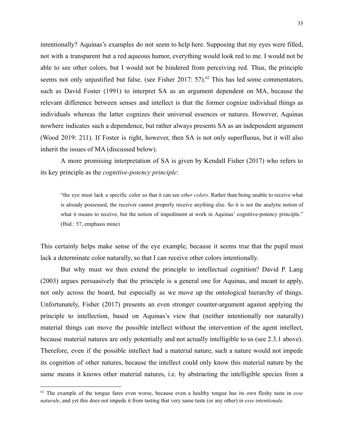intentionally? Aquinas's examples do not seem to help here. Supposing that my eyes were filled, not with a transparent but a red aqueous humor, everything would look red to me. I would not be able to see other colors, but I would not be hindered from perceiving red. Thus, the principle seems not only unjustified but false. (see Fisher 2017:  $57$ ).<sup>62</sup> This has led some commentators, such as David Foster (1991) to interpret SA as an argument dependent on MA, because the relevant difference between senses and intellect is that the former cognize individual things as individuals whereas the latter cognizes their universal essences or natures. However, Aquinas nowhere indicates such a dependence, but rather always presents SA as an independent argument (Wood 2019: 211). If Foster is right, however, then SA is not only superfluous, but it will also inherit the issues of MA (discussed below).

A more promising interpretation of SA is given by Kendall Fisher (2017) who refers to its key principle as the *cognitive-potency principle*:

"the eye must lack a specific color so that it can see *other colors*. Rather than being unable to receive what is already possessed, the receiver cannot properly receive anything else. So it is not the analytic notion of what it means to receive, but the notion of impediment at work in Aquinas' cognitive-potency principle." (Ibid.: 57, emphasis mine)

This certainly helps make sense of the eye example, because it seems true that the pupil must lack a determinate color naturally, so that I can receive other colors intentionally.

But why must we then extend the principle to intellectual cognition? David P. Lang (2003) argues persuasively that the principle is a general one for Aquinas, and meant to apply, not only across the board, but especially as we move up the ontological hierarchy of things. Unfortunately, Fisher (2017) presents an even stronger counter-argument against applying the principle to intellection, based on Aquinas's view that (neither intentionally nor naturally) material things can move the possible intellect without the intervention of the agent intellect, because material natures are only potentially and not actually intelligible to us (see 2.3.1 above). Therefore, even if the possible intellect had a material nature, such a nature would not impede its cognition of other natures, because the intellect could only know this material nature by the same means it knows other material natures, i.e. by abstracting the intelligible species from a

<sup>62</sup> The example of the tongue fares even worse, because even a healthy tongue has its own fleshy taste in *esse naturale*, and yet this does not impede it from tasting that very same taste (or any other) in *esse intentionale*.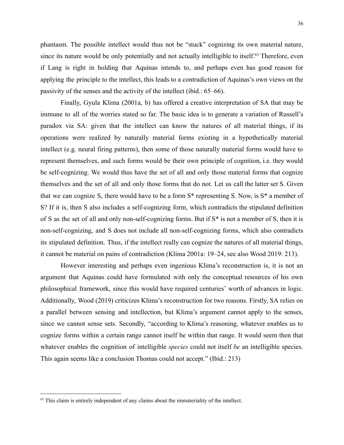phantasm. The possible intellect would thus not be "stuck" cognizing its own material nature, since its nature would be only potentially and not actually intelligible to itself.<sup>63</sup> Therefore, even if Lang is right in holding that Aquinas intends to, and perhaps even has good reason for applying the principle to the intellect, this leads to a contradiction of Aquinas's own views on the passivity of the senses and the activity of the intellect (ibid.: 65–66).

Finally, Gyula Klima (2001a, b) has offered a creative interpretation of SA that may be immune to all of the worries stated so far. The basic idea is to generate a variation of Russell's paradox via SA: given that the intellect can know the natures of all material things, if its operations were realized by naturally material forms existing in a hypothetically material intellect (e.g. neural firing patterns), then some of those naturally material forms would have to represent themselves, and such forms would be their own principle of cognition, i.e. they would be self-cognizing. We would thus have the set of all and only those material forms that cognize themselves and the set of all and only those forms that do not. Let us call the latter set S. Given that we can cognize S, there would have to be a form  $S^*$  representing S. Now, is  $S^*$  a member of S? If it is, then S also includes a self-cognizing form, which contradicts the stipulated definition of S as the set of all and only non-self-cognizing forms. But if S\* is not a member of S, then it is non-self-cognizing, and S does not include all non-self-cognizing forms, which also contradicts its stipulated definition. Thus, if the intellect really can cognize the natures of all material things, it cannot be material on pains of contradiction (Klima 2001a: 19–24, see also Wood 2019: 213).

However interesting and perhaps even ingenious Klima's reconstruction is, it is not an argument that Aquinas could have formulated with only the conceptual resources of his own philosophical framework, since this would have required centuries' worth of advances in logic. Additionally, Wood (2019) criticizes Klima's reconstruction for two reasons. Firstly, SA relies on a parallel between sensing and intellection, but Klima's argument cannot apply to the senses, since we cannot sense sets. Secondly, "according to Klima's reasoning, whatever enables us to cognize forms within a certain range cannot itself be within that range. It would seem then that whatever enables the cognition of intelligible *species* could not itself *be* an intelligible species. This again seems like a conclusion Thomas could not accept." (Ibid.: 213)

 $63$  This claim is entirely independent of any claims about the immateriality of the intellect.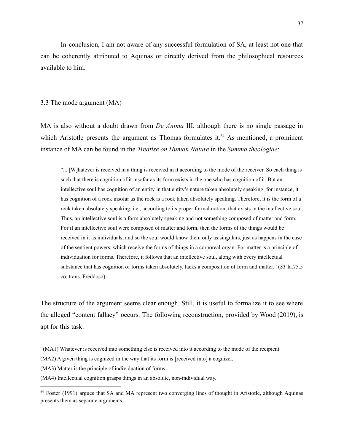In conclusion, I am not aware of any successful formulation of SA, at least not one that can be coherently attributed to Aquinas or directly derived from the philosophical resources available to him.

#### <span id="page-37-0"></span>3.3 The mode argument (MA)

MA is also without a doubt drawn from *De Anima* III, although there is no single passage in which Aristotle presents the argument as Thomas formulates it.<sup>64</sup> As mentioned, a prominent instance of MA can be found in the *Treatise on Human Nature* in the *Summa theologiae*:

"... [W]hatever is received in a thing is received in it according to the mode of the receiver. So each thing is such that there is cognition of it insofar as its form exists in the one who has cognition of it. But an intellective soul has cognition of an entity in that entity's nature taken absolutely speaking; for instance, it has cognition of a rock insofar as the rock is a rock taken absolutely speaking. Therefore, it is the form of a rock taken absolutely speaking, i.e., according to its proper formal notion, that exists in the intellective soul. Thus, an intellective soul is a form absolutely speaking and not something composed of matter and form. For if an intellective soul were composed of matter and form, then the forms of the things would be received in it as individuals, and so the soul would know them only as singulars, just as happens in the case of the sentient powers, which receive the forms of things in a corporeal organ. For matter is a principle of individuation for forms. Therefore, it follows that an intellective soul, along with every intellectual substance that has cognition of forms taken absolutely, lacks a composition of form and matter." (*ST* Ia.75.5 co, trans. Freddoso)

The structure of the argument seems clear enough. Still, it is useful to formalize it to see where the alleged "content fallacy" occurs. The following reconstruction, provided by Wood (2019), is apt for this task:

(MA2) A given thing is cognized in the way that its form is [received into] a cognizer.

(MA3) Matter is the principle of individuation of forms.

(MA4) Intellectual cognition grasps things in an absolute, non-individual way.

<sup>&</sup>quot;(MA1) Whatever is received into something else is received into it according to the mode of the recipient.

<sup>&</sup>lt;sup>64</sup> Foster (1991) argues that SA and MA represent two converging lines of thought in Aristotle, although Aquinas presents them as separate arguments.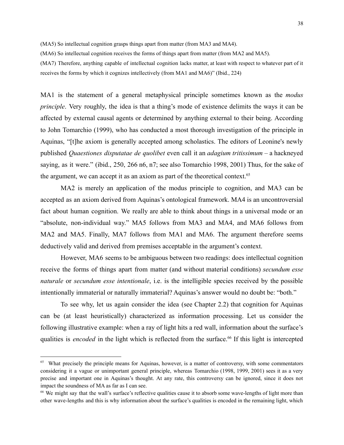(MA5) So intellectual cognition grasps things apart from matter (from MA3 and MA4).

(MA6) So intellectual cognition receives the forms of things apart from matter (from MA2 and MA5).

(MA7) Therefore, anything capable of intellectual cognition lacks matter, at least with respect to whatever part of it receives the forms by which it cognizes intellectively (from MA1 and MA6)" (Ibid., 224)

MA1 is the statement of a general metaphysical principle sometimes known as the *modus principle*. Very roughly, the idea is that a thing's mode of existence delimits the ways it can be affected by external causal agents or determined by anything external to their being. According to John Tomarchio (1999), who has conducted a most thorough investigation of the principle in Aquinas, "[t]he axiom is generally accepted among scholastics. The editors of Leonine's newly published *Quaestiones disputatae de quolibet* even call it an *adagium tritissimum* – a hackneyed saying, as it were." (ibid., 250, 266 n6, n7; see also Tomarchio 1998, 2001) Thus, for the sake of the argument, we can accept it as an axiom as part of the theoretical context.<sup>65</sup>

MA2 is merely an application of the modus principle to cognition, and MA3 can be accepted as an axiom derived from Aquinas's ontological framework. MA4 is an uncontroversial fact about human cognition. We really are able to think about things in a universal mode or an "absolute, non-individual way." MA5 follows from MA3 and MA4, and MA6 follows from MA2 and MA5. Finally, MA7 follows from MA1 and MA6. The argument therefore seems deductively valid and derived from premises acceptable in the argument's context.

However, MA6 seems to be ambiguous between two readings: does intellectual cognition receive the forms of things apart from matter (and without material conditions) *secundum esse naturale* or *secundum esse intentionale*, i.e. is the intelligible species received by the possible intentionally immaterial or naturally immaterial? Aquinas's answer would no doubt be: "both."

To see why, let us again consider the idea (see Chapter 2.2) that cognition for Aquinas can be (at least heuristically) characterized as information processing. Let us consider the following illustrative example: when a ray of light hits a red wall, information about the surface's qualities is *encoded* in the light which is reflected from the surface.<sup>66</sup> If this light is intercepted

<sup>&</sup>lt;sup>65</sup> What precisely the principle means for Aquinas, however, is a matter of controversy, with some commentators considering it a vague or unimportant general principle, whereas Tomarchio (1998, 1999, 2001) sees it as a very precise and important one in Aquinas's thought. At any rate, this controversy can be ignored, since it does not impact the soundness of MA as far as I can see.

<sup>&</sup>lt;sup>66</sup> We might say that the wall's surface's reflective qualities cause it to absorb some wave-lengths of light more than other wave-lengths and this is why information about the surface's qualities is encoded in the remaining light, which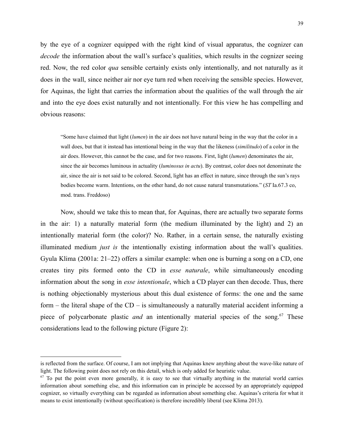by the eye of a cognizer equipped with the right kind of visual apparatus, the cognizer can *decode* the information about the wall's surface's qualities, which results in the cognizer seeing red. Now, the red color *qua* sensible certainly exists only intentionally, and not naturally as it does in the wall, since neither air nor eye turn red when receiving the sensible species. However, for Aquinas, the light that carries the information about the qualities of the wall through the air and into the eye does exist naturally and not intentionally. For this view he has compelling and obvious reasons:

"Some have claimed that light (*lumen*) in the air does not have natural being in the way that the color in a wall does, but that it instead has intentional being in the way that the likeness (*similitudo*) of a color in the air does. However, this cannot be the case, and for two reasons. First, light (*lumen*) denominates the air, since the air becomes luminous in actuality (*luminosus in actu*). By contrast, color does not denominate the air, since the air is not said to be colored. Second, light has an effect in nature, since through the sun's rays bodies become warm. Intentions, on the other hand, do not cause natural transmutations." (*ST* Ia.67.3 co, mod. trans. Freddoso)

Now, should we take this to mean that, for Aquinas, there are actually two separate forms in the air: 1) a naturally material form (the medium illuminated by the light) and 2) an intentionally material form (the color)? No. Rather, in a certain sense, the naturally existing illuminated medium *just is* the intentionally existing information about the wall's qualities. Gyula Klima (2001a: 21–22) offers a similar example: when one is burning a song on a CD, one creates tiny pits formed onto the CD in *esse naturale*, while simultaneously encoding information about the song in *esse intentionale*, which a CD player can then decode. Thus, there is nothing objectionably mysterious about this dual existence of forms: the one and the same form – the literal shape of the  $CD$  – is simultaneously a naturally material accident informing a piece of polycarbonate plastic *and* an intentionally material species of the song.<sup>67</sup> These considerations lead to the following picture (Figure 2):

is reflected from the surface. Of course, I am not implying that Aquinas knew anything about the wave-like nature of light. The following point does not rely on this detail, which is only added for heuristic value.

 $67$  To put the point even more generally, it is easy to see that virtually anything in the material world carries information about something else, and this information can in principle be accessed by an appropriately equipped cognizer, so virtually everything can be regarded as information about something else. Aquinas's criteria for what it means to exist intentionally (without specification) is therefore incredibly liberal (see Klima 2013).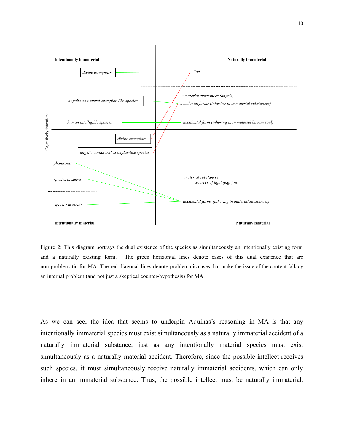

Figure 2: This diagram portrays the dual existence of the species as simultaneously an intentionally existing form and a naturally existing form. The green horizontal lines denote cases of this dual existence that are non-problematic for MA. The red diagonal lines denote problematic cases that make the issue of the content fallacy an internal problem (and not just a skeptical counter-hypothesis) for MA.

As we can see, the idea that seems to underpin Aquinas's reasoning in MA is that any intentionally immaterial species must exist simultaneously as a naturally immaterial accident of a naturally immaterial substance, just as any intentionally material species must exist simultaneously as a naturally material accident. Therefore, since the possible intellect receives such species, it must simultaneously receive naturally immaterial accidents, which can only inhere in an immaterial substance. Thus, the possible intellect must be naturally immaterial.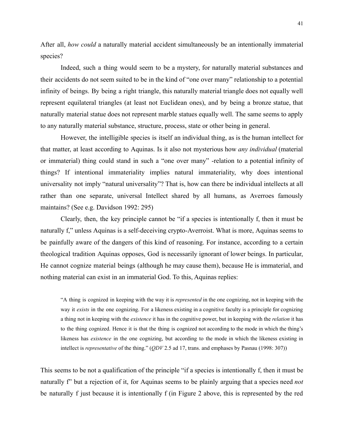After all, *how could* a naturally material accident simultaneously be an intentionally immaterial species?

Indeed, such a thing would seem to be a mystery, for naturally material substances and their accidents do not seem suited to be in the kind of "one over many" relationship to a potential infinity of beings. By being a right triangle, this naturally material triangle does not equally well represent equilateral triangles (at least not Euclidean ones), and by being a bronze statue, that naturally material statue does not represent marble statues equally well. The same seems to apply to any naturally material substance, structure, process, state or other being in general.

However, the intelligible species is itself an individual thing, as is the human intellect for that matter, at least according to Aquinas. Is it also not mysterious how *any individual* (material or immaterial) thing could stand in such a "one over many" -relation to a potential infinity of things? If intentional immateriality implies natural immateriality, why does intentional universality not imply "natural universality"? That is, how can there be individual intellects at all rather than one separate, universal Intellect shared by all humans, as Averroes famously maintains? (See e.g. Davidson 1992: 295)

Clearly, then, the key principle cannot be "if a species is intentionally f, then it must be naturally f," unless Aquinas is a self-deceiving crypto-Averroist. What is more, Aquinas seems to be painfully aware of the dangers of this kind of reasoning. For instance, according to a certain theological tradition Aquinas opposes, God is necessarily ignorant of lower beings. In particular, He cannot cognize material beings (although he may cause them), because He is immaterial, and nothing material can exist in an immaterial God. To this, Aquinas replies:

"A thing is cognized in keeping with the way it is *represented* in the one cognizing, not in keeping with the way it *exists* in the one cognizing. For a likeness existing in a cognitive faculty is a principle for cognizing a thing not in keeping with the *existence* it has in the cognitive power, but in keeping with the *relation* it has to the thing cognized. Hence it is that the thing is cognized not according to the mode in which the thing's likeness has *existence* in the one cognizing, but according to the mode in which the likeness existing in intellect is *representative* of the thing." (*QDV* 2.5 ad 17, trans. and emphases by Pasnau (1998: 307))

This seems to be not a qualification of the principle "if a species is intentionally f, then it must be naturally f" but a rejection of it, for Aquinas seems to be plainly arguing that a species need *not* be naturally f just because it is intentionally f (in Figure 2 above, this is represented by the red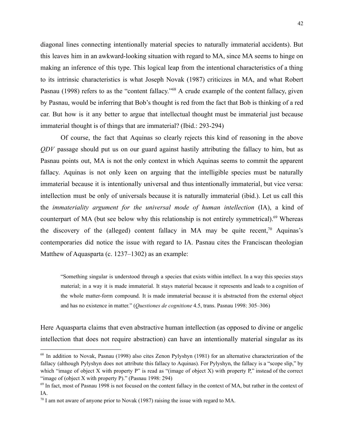diagonal lines connecting intentionally material species to naturally immaterial accidents). But this leaves him in an awkward-looking situation with regard to MA, since MA seems to hinge on making an inference of this type. This logical leap from the intentional characteristics of a thing to its intrinsic characteristics is what Joseph Novak (1987) criticizes in MA, and what Robert Pasnau (1998) refers to as the "content fallacy."<sup>68</sup> A crude example of the content fallacy, given by Pasnau, would be inferring that Bob's thought is red from the fact that Bob is thinking of a red car. But how is it any better to argue that intellectual thought must be immaterial just because immaterial thought is of things that are immaterial? (Ibid.: 293-294)

Of course, the fact that Aquinas so clearly rejects this kind of reasoning in the above *QDV* passage should put us on our guard against hastily attributing the fallacy to him, but as Pasnau points out, MA is not the only context in which Aquinas seems to commit the apparent fallacy. Aquinas is not only keen on arguing that the intelligible species must be naturally immaterial because it is intentionally universal and thus intentionally immaterial, but vice versa: intellection must be only of universals because it is naturally immaterial (ibid.). Let us call this the *immateriality argument for the universal mode of human intellection* (IA), a kind of counterpart of MA (but see below why this relationship is not entirely symmetrical).<sup>69</sup> Whereas the discovery of the (alleged) content fallacy in MA may be quite recent,<sup>70</sup> Aquinas's contemporaries did notice the issue with regard to IA. Pasnau cites the Franciscan theologian Matthew of Aquasparta (c. 1237–1302) as an example:

"Something singular is understood through a species that exists within intellect. In a way this species stays material; in a way it is made immaterial. It stays material because it represents and leads to a cognition of the whole matter-form compound. It is made immaterial because it is abstracted from the external object and has no existence in matter." (*Questiones de cognitione* 4.5, trans. Pasnau 1998: 305–306)

Here Aquasparta claims that even abstractive human intellection (as opposed to divine or angelic intellection that does not require abstraction) can have an intentionally material singular as its

<sup>&</sup>lt;sup>68</sup> In addition to Novak, Pasnau (1998) also cites Zenon Pylyshyn (1981) for an alternative characterization of the fallacy (although Pylyshyn does not attribute this fallacy to Aquinas). For Pylyshyn, the fallacy is a "scope slip," by which "image of object X with property P" is read as "(image of object X) with property P," instead of the correct "image of (object X with property P)." (Pasnau 1998: 294)

<sup>&</sup>lt;sup>69</sup> In fact, most of Pasnau 1998 is not focused on the content fallacy in the context of MA, but rather in the context of IA.

 $70$  I am not aware of anyone prior to Novak (1987) raising the issue with regard to MA.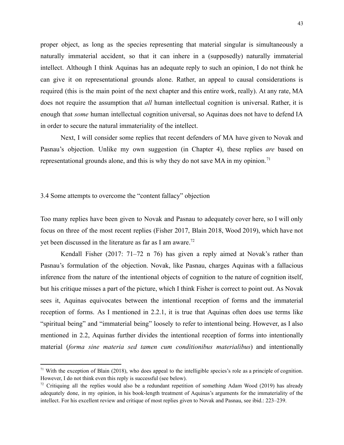proper object, as long as the species representing that material singular is simultaneously a naturally immaterial accident, so that it can inhere in a (supposedly) naturally immaterial intellect. Although I think Aquinas has an adequate reply to such an opinion, I do not think he can give it on representational grounds alone. Rather, an appeal to causal considerations is required (this is the main point of the next chapter and this entire work, really). At any rate, MA does not require the assumption that *all* human intellectual cognition is universal. Rather, it is enough that *some* human intellectual cognition universal, so Aquinas does not have to defend IA in order to secure the natural immateriality of the intellect.

Next, I will consider some replies that recent defenders of MA have given to Novak and Pasnau's objection. Unlike my own suggestion (in Chapter 4), these replies *are* based on representational grounds alone, and this is why they do not save MA in my opinion.<sup>71</sup>

## <span id="page-43-0"></span>3.4 Some attempts to overcome the "content fallacy" objection

Too many replies have been given to Novak and Pasnau to adequately cover here, so I will only focus on three of the most recent replies (Fisher 2017, Blain 2018, Wood 2019), which have not yet been discussed in the literature as far as I am aware.<sup>72</sup>

Kendall Fisher (2017: 71–72 n 76) has given a reply aimed at Novak's rather than Pasnau's formulation of the objection. Novak, like Pasnau, charges Aquinas with a fallacious inference from the nature of the intentional objects of cognition to the nature of cognition itself, but his critique misses a part of the picture, which I think Fisher is correct to point out. As Novak sees it, Aquinas equivocates between the intentional reception of forms and the immaterial reception of forms. As I mentioned in 2.2.1, it is true that Aquinas often does use terms like "spiritual being" and "immaterial being" loosely to refer to intentional being. However, as I also mentioned in 2.2, Aquinas further divides the intentional reception of forms into intentionally material (*forma sine materia sed tamen cum conditionibus materialibus*) and intentionally

 $71$  With the exception of Blain (2018), who does appeal to the intelligible species's role as a principle of cognition. However, I do not think even this reply is successful (see below).

 $72$  Critiquing all the replies would also be a redundant repetition of something Adam Wood (2019) has already adequately done, in my opinion, in his book-length treatment of Aquinas's arguments for the immateriality of the intellect. For his excellent review and critique of most replies given to Novak and Pasnau, see ibid.: 223–239.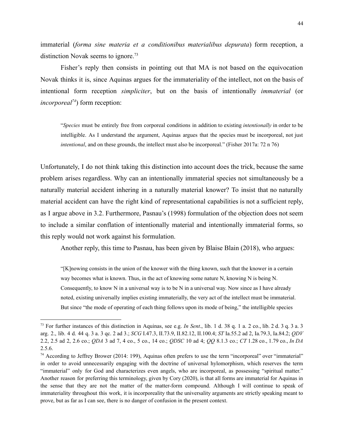immaterial (*forma sine materia et a conditionibus materialibus depurata*) form reception, a distinction Novak seems to ignore.<sup>73</sup>

Fisher's reply then consists in pointing out that MA is not based on the equivocation Novak thinks it is, since Aquinas argues for the immateriality of the intellect, not on the basis of intentional form reception *simpliciter*, but on the basis of intentionally *immaterial* (or *incorporeal<sup>74</sup>* ) form reception:

"*Species* must be entirely free from corporeal conditions in addition to existing *intentionally* in order to be intelligible. As I understand the argument, Aquinas argues that the species must be incorporeal, not just *intentional*, and on these grounds, the intellect must also be incorporeal." (Fisher 2017a: 72 n 76)

Unfortunately, I do not think taking this distinction into account does the trick, because the same problem arises regardless. Why can an intentionally immaterial species not simultaneously be a naturally material accident inhering in a naturally material knower? To insist that no naturally material accident can have the right kind of representational capabilities is not a sufficient reply, as I argue above in 3.2. Furthermore, Pasnau's (1998) formulation of the objection does not seem to include a similar conflation of intentionally material and intentionally immaterial forms, so this reply would not work against his formulation.

Another reply, this time to Pasnau, has been given by Blaise Blain (2018), who argues:

"[K]nowing consists in the union of the knower with the thing known, such that the knower in a certain way becomes what is known. Thus, in the act of knowing some nature N, knowing N is being N. Consequently, to know N in a universal way is to be N in a universal way. Now since as I have already noted, existing universally implies existing immaterially, the very act of the intellect must be immaterial. But since "the mode of operating of each thing follows upon its mode of being," the intelligible species

<sup>73</sup> For further instances of this distinction in Aquinas, see e.g. *In Sent*., lib. 1 d. 38 q. 1 a. 2 co., lib. 2 d. 3 q. 3 a. 3 arg. 2., lib. 4 d. 44 q. 3 a. 3 qc. 2 ad 3.; *SCG* I.47.3, II.73.9, II.82.12, II.100.4; *ST* Ia.55.2 ad 2, Ia.79.3, Ia.84.2; *QDV* 2.2, 2.5 ad 2, 2.6 co.; *QDA* 3 ad 7, 4 co., 5 co., 14 co.; *QDSC* 10 ad 4; *QQ* 8.1.3 co.; *CT* 1.28 co., 1.79 co., *In DA* 2.5.6.

<sup>74</sup> According to Jeffrey Brower (2014: 199), Aquinas often prefers to use the term "incorporeal" over "immaterial" in order to avoid unnecessarily engaging with the doctrine of universal hylomorphism, which reserves the term "immaterial" only for God and characterizes even angels, who are incorporeal, as possessing "spiritual matter." Another reason for preferring this terminology, given by Cory (2020), is that all forms are immaterial for Aquinas in the sense that they are not the matter of the matter-form compound. Although I will continue to speak of immateriality throughout this work, it is incorporeality that the universality arguments are strictly speaking meant to prove, but as far as I can see, there is no danger of confusion in the present context.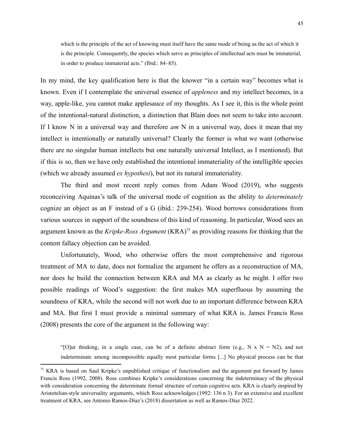which is the principle of the act of knowing must itself have the same mode of being as the act of which it is the principle. Consequently, the species which serve as principles of intellectual acts must be immaterial, in order to produce immaterial acts." (Ibid.: 84–85).

In my mind, the key qualification here is that the knower "in a certain way" becomes what is known. Even if I contemplate the universal essence of *appleness* and my intellect becomes, in a way, apple-like, you cannot make applesauce of my thoughts. As I see it, this is the whole point of the intentional-natural distinction, a distinction that Blain does not seem to take into account. If I know N in a universal way and therefore *am* N in a universal way, does it mean that my intellect is intentionally or naturally universal? Clearly the former is what we want (otherwise there are no singular human intellects but one naturally universal Intellect, as I mentioned). But if this is so, then we have only established the intentional immateriality of the intelligible species (which we already assumed *ex hypothesi*), but not its natural immateriality.

The third and most recent reply comes from Adam Wood (2019), who suggests reconceiving Aquinas's talk of the universal mode of cognition as the ability to *determinately* cognize an object as an F instead of a G (ibid.: 239-254). Wood borrows considerations from various sources in support of the soundness of this kind of reasoning. In particular, Wood sees an argument known as the *Kripke-Ross Argument* (KRA)<sup>75</sup> as providing reasons for thinking that the content fallacy objection can be avoided.

Unfortunately, Wood, who otherwise offers the most comprehensive and rigorous treatment of MA to date, does not formalize the argument he offers as a reconstruction of MA, nor does he build the connection between KRA and MA as clearly as he might. I offer two possible readings of Wood's suggestion: the first makes MA superfluous by assuming the soundness of KRA, while the second will not work due to an important difference between KRA and MA. But first I must provide a minimal summary of what KRA is. James Francis Ross (2008) presents the core of the argument in the following way:

"[O]ur thinking, in a single case, can be of a definite abstract form (e.g.,  $N \times N = N2$ ), and not indeterminate among incompossible equally most particular forms [...] No physical process can be that

<sup>75</sup> KRA is based on Saul Kripke's unpublished critique of functionalism and the argument put forward by James Francis Ross (1992, 2008). Ross combines Kripke's considerations concerning the indeterminacy of the physical with consideration concerning the determinate formal structure of certain cognitive acts. KRA is clearly inspired by Aristotelian-style universality arguments, which Ross acknowledges (1992: 136 n 3). For an extensive and excellent treatment of KRA, see Antonio Ramos-Díaz's (2018) dissertation as well as Ramos-Díaz 2022.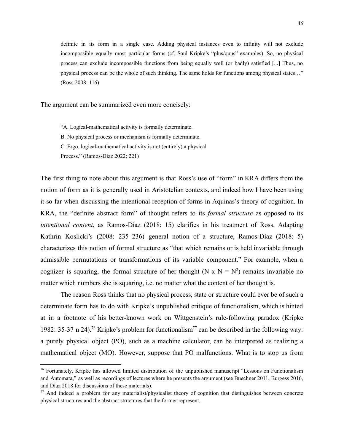definite in its form in a single case. Adding physical instances even to infinity will not exclude incompossible equally most particular forms (cf. Saul Kripke's "plus/quus" examples). So, no physical process can exclude incompossible functions from being equally well (or badly) satisfied [...] Thus, no physical process can be the whole of such thinking. The same holds for functions among physical states…" (Ross 2008: 116)

The argument can be summarized even more concisely:

"A. Logical-mathematical activity is formally determinate. B. No physical process or mechanism is formally determinate. C. Ergo, logical-mathematical activity is not (entirely) a physical Process." (Ramos-Díaz 2022: 221)

The first thing to note about this argument is that Ross's use of "form" in KRA differs from the notion of form as it is generally used in Aristotelian contexts, and indeed how I have been using it so far when discussing the intentional reception of forms in Aquinas's theory of cognition. In KRA, the "definite abstract form" of thought refers to its *formal structure* as opposed to its *intentional content*, as Ramos-Díaz (2018: 15) clarifies in his treatment of Ross. Adapting Kathrin Koslicki's (2008: 235–236) general notion of a structure, Ramos-Díaz (2018: 5) characterizes this notion of formal structure as "that which remains or is held invariable through admissible permutations or transformations of its variable component." For example, when a cognizer is squaring, the formal structure of her thought  $(N \times N = N^2)$  remains invariable no matter which numbers she is squaring, i.e. no matter what the content of her thought is.

The reason Ross thinks that no physical process, state or structure could ever be of such a determinate form has to do with Kripke's unpublished critique of functionalism, which is hinted at in a footnote of his better-known work on Wittgenstein's rule-following paradox (Kripke 1982: 35-37 n 24).<sup>76</sup> Kripke's problem for functionalism<sup>77</sup> can be described in the following way: a purely physical object (PO), such as a machine calculator, can be interpreted as realizing a mathematical object (MO). However, suppose that PO malfunctions. What is to stop us from

<sup>76</sup> Fortunately, Kripke has allowed limited distribution of the unpublished manuscript "Lessons on Functionalism and Automata," as well as recordings of lectures where he presents the argument (see Buechner 2011, Burgess 2016, and Díaz 2018 for discussions of these materials).

 $77$  And indeed a problem for any materialist/physicalist theory of cognition that distinguishes between concrete physical structures and the abstract structures that the former represent.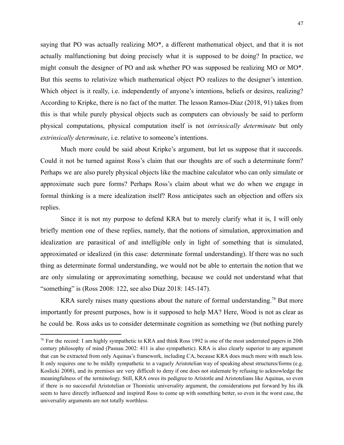saying that PO was actually realizing MO\*, a different mathematical object, and that it is not actually malfunctioning but doing precisely what it is supposed to be doing? In practice, we might consult the designer of PO and ask whether PO was supposed be realizing MO or MO\*. But this seems to relativize which mathematical object PO realizes to the designer's intention. Which object is it really, i.e. independently of anyone's intentions, beliefs or desires, realizing? According to Kripke, there is no fact of the matter. The lesson Ramos-Díaz (2018, 91) takes from this is that while purely physical objects such as computers can obviously be said to perform physical computations, physical computation itself is not *intrinsically determinate* but only *extrinsically determinate*, i.e. relative to someone's intentions.

Much more could be said about Kripke's argument, but let us suppose that it succeeds. Could it not be turned against Ross's claim that our thoughts are of such a determinate form? Perhaps we are also purely physical objects like the machine calculator who can only simulate or approximate such pure forms? Perhaps Ross's claim about what we do when we engage in formal thinking is a mere idealization itself? Ross anticipates such an objection and offers six replies.

Since it is not my purpose to defend KRA but to merely clarify what it is, I will only briefly mention one of these replies, namely, that the notions of simulation, approximation and idealization are parasitical of and intelligible only in light of something that is simulated, approximated or idealized (in this case: determinate formal understanding). If there was no such thing as determinate formal understanding, we would not be able to entertain the notion that we are only simulating or approximating something, because we could not understand what that "something" is (Ross 2008: 122, see also Díaz 2018: 145-147).

KRA surely raises many questions about the nature of formal understanding.<sup>78</sup> But more importantly for present purposes, how is it supposed to help MA? Here, Wood is not as clear as he could be. Ross asks us to consider determinate cognition as something we (but nothing purely

<sup>&</sup>lt;sup>78</sup> For the record: I am highly sympathetic to KRA and think Ross 1992 is one of the most underrated papers in 20th century philosophy of mind (Pasnau 2002: 411 is also sympathetic). KRA is also clearly superior to any argument that can be extracted from only Aquinas's framework, including CA, because KRA does much more with much less. It only requires one to be mildly sympathetic to a vaguely Aristotelian way of speaking about structures/forms (e.g. Koslicki 2008), and its premises are very difficult to deny if one does not stalemate by refusing to acknowledge the meaningfulness of the terminology. Still, KRA owes its pedigree to Aristotle and Aristotelians like Aquinas, so even if there is no successful Aristotelian or Thomistic universality argument, the considerations put forward by his ilk seem to have directly influenced and inspired Ross to come up with something better, so even in the worst case, the universality arguments are not totally worthless.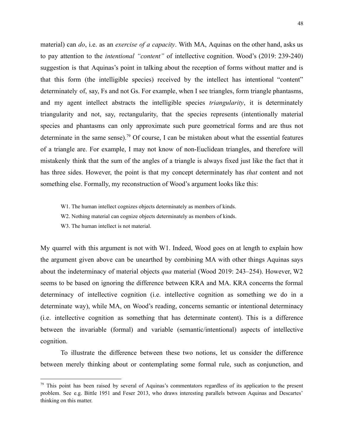material) can *do*, i.e. as an *exercise of a capacity*. With MA, Aquinas on the other hand, asks us to pay attention to the *intentional "content"* of intellective cognition. Wood's (2019: 239-240) suggestion is that Aquinas's point in talking about the reception of forms without matter and is that this form (the intelligible species) received by the intellect has intentional "content" determinately of, say, Fs and not Gs. For example, when I see triangles, form triangle phantasms, and my agent intellect abstracts the intelligible species *triangularity*, it is determinately triangularity and not, say, rectangularity, that the species represents (intentionally material species and phantasms can only approximate such pure geometrical forms and are thus not determinate in the same sense).<sup>79</sup> Of course, I can be mistaken about what the essential features of a triangle are. For example, I may not know of non-Euclidean triangles, and therefore will mistakenly think that the sum of the angles of a triangle is always fixed just like the fact that it has three sides. However, the point is that my concept determinately has *that* content and not something else. Formally, my reconstruction of Wood's argument looks like this:

- W1. The human intellect cognizes objects determinately as members of kinds.
- W2. Nothing material can cognize objects determinately as members of kinds.
- W3. The human intellect is not material.

My quarrel with this argument is not with W1. Indeed, Wood goes on at length to explain how the argument given above can be unearthed by combining MA with other things Aquinas says about the indeterminacy of material objects *qua* material (Wood 2019: 243–254). However, W2 seems to be based on ignoring the difference between KRA and MA. KRA concerns the formal determinacy of intellective cognition (i.e. intellective cognition as something we do in a determinate way), while MA, on Wood's reading, concerns semantic or intentional determinacy (i.e. intellective cognition as something that has determinate content). This is a difference between the invariable (formal) and variable (semantic/intentional) aspects of intellective cognition.

To illustrate the difference between these two notions, let us consider the difference between merely thinking about or contemplating some formal rule, such as conjunction, and

 $79$  This point has been raised by several of Aquinas's commentators regardless of its application to the present problem. See e.g. Bittle 1951 and Feser 2013, who draws interesting parallels between Aquinas and Descartes' thinking on this matter.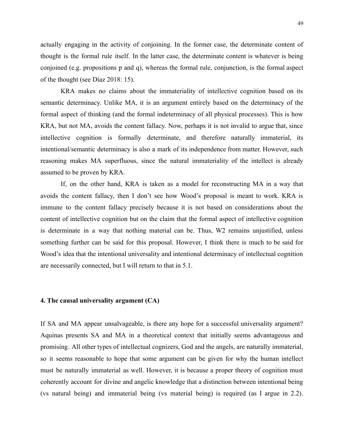49

actually engaging in the activity of conjoining. In the former case, the determinate content of thought is the formal rule itself. In the latter case, the determinate content is whatever is being conjoined (e.g. propositions p and q), whereas the formal rule, conjunction, is the formal aspect of the thought (see Díaz 2018: 15).

KRA makes no claims about the immateriality of intellective cognition based on its semantic determinacy. Unlike MA, it is an argument entirely based on the determinacy of the formal aspect of thinking (and the formal indeterminacy of all physical processes). This is how KRA, but not MA, avoids the content fallacy. Now, perhaps it is not invalid to argue that, since intellective cognition is formally determinate, and therefore naturally immaterial, its intentional/semantic determinacy is also a mark of its independence from matter. However, such reasoning makes MA superfluous, since the natural immateriality of the intellect is already assumed to be proven by KRA.

If, on the other hand, KRA is taken as a model for reconstructing MA in a way that avoids the content fallacy, then I don't see how Wood's proposal is meant to work. KRA is immune to the content fallacy precisely because it is not based on considerations about the content of intellective cognition but on the claim that the formal aspect of intellective cognition is determinate in a way that nothing material can be. Thus, W2 remains unjustified, unless something further can be said for this proposal. However, I think there is much to be said for Wood's idea that the intentional universality and intentional determinacy of intellectual cognition are necessarily connected, but I will return to that in 5.1.

#### <span id="page-49-0"></span>**4. The causal universality argument (CA)**

If SA and MA appear unsalvageable, is there any hope for a successful universality argument? Aquinas presents SA and MA in a theoretical context that initially seems advantageous and promising. All other types of intellectual cognizers, God and the angels, are naturally immaterial, so it seems reasonable to hope that some argument can be given for why the human intellect must be naturally immaterial as well. However, it is because a proper theory of cognition must coherently account for divine and angelic knowledge that a distinction between intentional being (vs natural being) and immaterial being (vs material being) is required (as I argue in 2.2).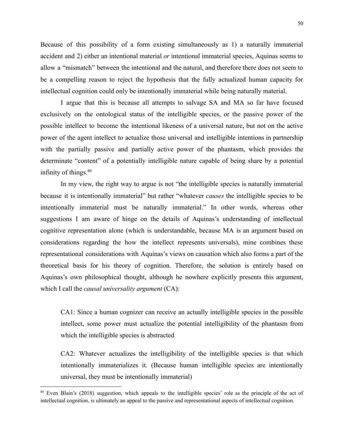Because of this possibility of a form existing simultaneously as 1) a naturally immaterial accident and 2) either an intentional material *or* intentional immaterial species, Aquinas seems to allow a "mismatch" between the intentional and the natural, and therefore there does not seem to be a compelling reason to reject the hypothesis that the fully actualized human capacity for intellectual cognition could only be intentionally immaterial while being naturally material.

I argue that this is because all attempts to salvage SA and MA so far have focused exclusively on the ontological status of the intelligible species, or the passive power of the possible intellect to become the intentional likeness of a universal nature, but not on the active power of the agent intellect to actualize those universal and intelligible intentions in partnership with the partially passive and partially active power of the phantasm, which provides the determinate "content" of a potentially intelligible nature capable of being share by a potential infinity of things.<sup>80</sup>

In my view, the right way to argue is not "the intelligible species is naturally immaterial because it is intentionally immaterial" but rather "whatever *causes* the intelligible species to be intentionally immaterial must be naturally immaterial." In other words, whereas other suggestions I am aware of hinge on the details of Aquinas's understanding of intellectual cognitive representation alone (which is understandable, because MA is an argument based on considerations regarding the how the intellect represents universals), mine combines these representational considerations with Aquinas's views on causation which also forms a part of the theoretical basis for his theory of cognition. Therefore, the solution is entirely based on Aquinas's own philosophical thought, although he nowhere explicitly presents this argument, which I call the *causal universality argument* (CA):

CA1: Since a human cognizer can receive an actually intelligible species in the possible intellect, some power must actualize the potential intelligibility of the phantasm from which the intelligible species is abstracted

CA2: Whatever actualizes the intelligibility of the intelligible species is that which intentionally immaterializes it. (Because human intelligible species are intentionally universal, they must be intentionally immaterial)

<sup>&</sup>lt;sup>80</sup> Even Blain's (2018) suggestion, which appeals to the intelligible species' role as the principle of the act of intellectual cognition, is ultimately an appeal to the passive and representational aspects of intellectual cognition.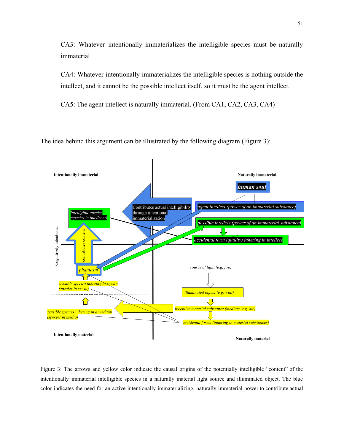CA3: Whatever intentionally immaterializes the intelligible species must be naturally immaterial

CA4: Whatever intentionally immaterializes the intelligible species is nothing outside the intellect, and it cannot be the possible intellect itself, so it must be the agent intellect.

CA5: The agent intellect is naturally immaterial. (From CA1, CA2, CA3, CA4)

The idea behind this argument can be illustrated by the following diagram (Figure 3):



Figure 3: The arrows and yellow color indicate the causal origins of the potentially intelligible "content" of the intentionally immaterial intelligible species in a naturally material light source and illuminated object. The blue color indicates the need for an active intentionally immaterializing, naturally immaterial power to contribute actual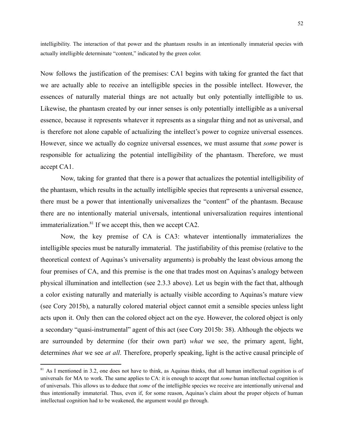intelligibility. The interaction of that power and the phantasm results in an intentionally immaterial species with actually intelligible determinate "content," indicated by the green color.

Now follows the justification of the premises: CA1 begins with taking for granted the fact that we are actually able to receive an intelligible species in the possible intellect. However, the essences of naturally material things are not actually but only potentially intelligible to us. Likewise, the phantasm created by our inner senses is only potentially intelligible as a universal essence, because it represents whatever it represents as a singular thing and not as universal, and is therefore not alone capable of actualizing the intellect's power to cognize universal essences. However, since we actually do cognize universal essences, we must assume that *some* power is responsible for actualizing the potential intelligibility of the phantasm. Therefore, we must accept CA1.

Now, taking for granted that there is a power that actualizes the potential intelligibility of the phantasm, which results in the actually intelligible species that represents a universal essence, there must be a power that intentionally universalizes the "content" of the phantasm. Because there are no intentionally material universals, intentional universalization requires intentional immaterialization.<sup>81</sup> If we accept this, then we accept CA2.

Now, the key premise of CA is CA3: whatever intentionally immaterializes the intelligible species must be naturally immaterial. The justifiability of this premise (relative to the theoretical context of Aquinas's universality arguments) is probably the least obvious among the four premises of CA, and this premise is the one that trades most on Aquinas's analogy between physical illumination and intellection (see 2.3.3 above). Let us begin with the fact that, although a color existing naturally and materially is actually visible according to Aquinas's mature view (see Cory 2015b), a naturally colored material object cannot emit a sensible species unless light acts upon it. Only then can the colored object act on the eye. However, the colored object is only a secondary "quasi-instrumental" agent of this act (see Cory 2015b: 38). Although the objects we are surrounded by determine (for their own part) *what* we see, the primary agent, light, determines *that* we see *at all*. Therefore, properly speaking, light is the active causal principle of

 $81$  As I mentioned in 3.2, one does not have to think, as Aquinas thinks, that all human intellectual cognition is of universals for MA to work. The same applies to CA: it is enough to accept that *some* human intellectual cognition is of universals. This allows us to deduce that *some* of the intelligible species we receive are intentionally universal and thus intentionally immaterial. Thus, even if, for some reason, Aquinas's claim about the proper objects of human intellectual cognition had to be weakened, the argument would go through.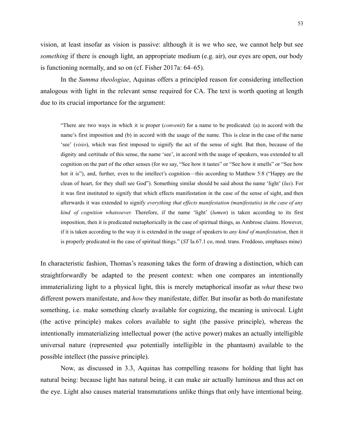vision, at least insofar as vision is passive: although it is we who see, we cannot help but see *something* if there is enough light, an appropriate medium (e.g. air), our eyes are open, our body is functioning normally, and so on (cf. Fisher 2017a: 64–65).

In the *Summa theologiae*, Aquinas offers a principled reason for considering intellection analogous with light in the relevant sense required for CA. The text is worth quoting at length due to its crucial importance for the argument:

"There are two ways in which it is proper (*convenit*) for a name to be predicated: (a) in accord with the name's first imposition and (b) in accord with the usage of the name. This is clear in the case of the name 'see' (*visio*), which was first imposed to signify the act of the sense of sight. But then, because of the dignity and certitude of this sense, the name 'see', in accord with the usage of speakers, was extended to all cognition on the part of the other senses (for we say, "See how it tastes" or "See how it smells" or "See how hot it is"), and, further, even to the intellect's cognition—this according to Matthew 5:8 ("Happy are the clean of heart, for they shall see God"). Something similar should be said about the name 'light' (*lux*). For it was first instituted to signify that which effects manifestation in the case of the sense of sight, and then afterwards it was extended to signify *everything that ef ects manifestation (manifestatio) in the case of any kind of cognition whatsoever.* Therefore, if the name 'light' (*lumen*) is taken according to its first imposition, then it is predicated metaphorically in the case of spiritual things, as Ambrose claims. However, if it is taken according to the way it is extended in the usage of speakers to *any kind of manifestation*, then it is properly predicated in the case of spiritual things." (*ST* Ia.67.1 co, mod. trans. Freddoso, emphases mine)

In characteristic fashion, Thomas's reasoning takes the form of drawing a distinction, which can straightforwardly be adapted to the present context: when one compares an intentionally immaterializing light to a physical light, this is merely metaphorical insofar as *what* these two different powers manifestate, and *how* they manifestate, differ. But insofar as both do manifestate something, i.e. make something clearly available for cognizing, the meaning is univocal. Light (the active principle) makes colors available to sight (the passive principle), whereas the intentionally immaterializing intellectual power (the active power) makes an actually intelligible universal nature (represented *qua* potentially intelligible in the phantasm) available to the possible intellect (the passive principle).

Now, as discussed in 3.3, Aquinas has compelling reasons for holding that light has natural being: because light has natural being, it can make air actually luminous and thus act on the eye. Light also causes material transmutations unlike things that only have intentional being.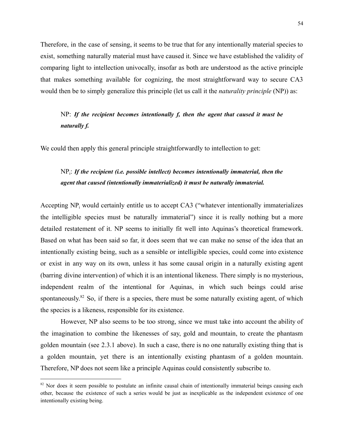Therefore, in the case of sensing, it seems to be true that for any intentionally material species to exist, something naturally material must have caused it. Since we have established the validity of comparing light to intellection univocally, insofar as both are understood as the active principle that makes something available for cognizing, the most straightforward way to secure CA3 would then be to simply generalize this principle (let us call it the *naturality principle* (NP)) as:

# NP: *If the recipient becomes intentionally f, then the agent that caused it must be naturally f.*

We could then apply this general principle straightforwardly to intellection to get:

# NPi: *If the recipient (i.e. possible intellect) becomes intentionally immaterial, then the agent that caused (intentionally immaterialized) it must be naturally immaterial.*

Accepting NP<sup>i</sup> would certainly entitle us to accept CA3 ("whatever intentionally immaterializes the intelligible species must be naturally immaterial") since it is really nothing but a more detailed restatement of it. NP seems to initially fit well into Aquinas's theoretical framework. Based on what has been said so far, it does seem that we can make no sense of the idea that an intentionally existing being, such as a sensible or intelligible species, could come into existence or exist in any way on its own, unless it has some causal origin in a naturally existing agent (barring divine intervention) of which it is an intentional likeness. There simply is no mysterious, independent realm of the intentional for Aquinas, in which such beings could arise spontaneously.<sup>82</sup> So, if there is a species, there must be some naturally existing agent, of which the species is a likeness, responsible for its existence.

However, NP also seems to be too strong, since we must take into account the ability of the imagination to combine the likenesses of say, gold and mountain, to create the phantasm golden mountain (see 2.3.1 above). In such a case, there is no one naturally existing thing that is a golden mountain, yet there is an intentionally existing phantasm of a golden mountain. Therefore, NP does not seem like a principle Aquinas could consistently subscribe to.

<sup>&</sup>lt;sup>82</sup> Nor does it seem possible to postulate an infinite causal chain of intentionally immaterial beings causing each other, because the existence of such a series would be just as inexplicable as the independent existence of one intentionally existing being.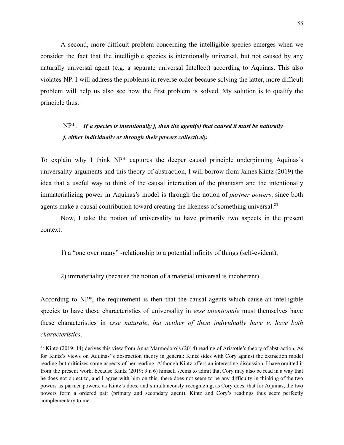A second, more difficult problem concerning the intelligible species emerges when we consider the fact that the intelligible species is intentionally universal, but not caused by any naturally universal agent (e.g. a separate universal Intellect) according to Aquinas. This also violates NP. I will address the problems in reverse order because solving the latter, more difficult problem will help us also see how the first problem is solved. My solution is to qualify the principle thus:

# NP\*: *If a species is intentionally f, then the agent(s) that caused it must be naturally f, either individually or through their powers collectively.*

To explain why I think NP\* captures the deeper causal principle underpinning Aquinas's universality arguments and this theory of abstraction, I will borrow from James Kintz (2019) the idea that a useful way to think of the causal interaction of the phantasm and the intentionally immaterializing power in Aquinas's model is through the notion of *partner powers*, since both agents make a causal contribution toward creating the likeness of something universal.<sup>83</sup>

Now, I take the notion of universality to have primarily two aspects in the present context:

1) a "one over many" -relationship to a potential infinity of things (self-evident),

2) immateriality (because the notion of a material universal is incoherent).

According to NP\*, the requirement is then that the causal agents which cause an intelligible species to have these characteristics of universality in *esse intentionale* must themselves have these characteristics in *esse naturale*, *but neither of them individually have to have both characteristics*.

<sup>83</sup> Kintz (2019: 14) derives this view from Anna Marmodoro's (2014) reading of Aristotle's theory of abstraction. As for Kintz's views on Aquinas''s abstraction theory in general: Kintz sides with Cory against the extraction model reading but criticizes some aspects of her reading. Although Kintz offers an interesting discussion, I have omitted it from the present work, because Kintz (2019: 9 n 6) himself seems to admit that Cory may also be read in a way that he does not object to, and I agree with him on this: there does not seem to be any difficulty in thinking of the two powers as partner powers, as Kintz's does, and simultaneously recognizing, as Cory does, that for Aquinas, the two powers form a ordered pair (primary and secondary agent). Kintz and Cory's readings thus seem perfectly complementary to me.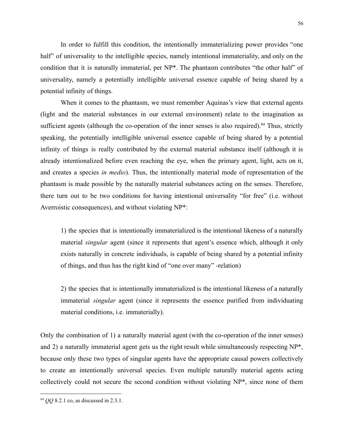In order to fulfill this condition, the intentionally immaterializing power provides "one half" of universality to the intelligible species, namely intentional immateriality, and only on the condition that it is naturally immaterial, per NP\*. The phantasm contributes "the other half" of universality, namely a potentially intelligible universal essence capable of being shared by a potential infinity of things.

When it comes to the phantasm, we must remember Aquinas's view that external agents (light and the material substances in our external environment) relate to the imagination as sufficient agents (although the co-operation of the inner senses is also required).<sup>84</sup> Thus, strictly speaking, the potentially intelligible universal essence capable of being shared by a potential infinity of things is really contributed by the external material substance itself (although it is already intentionalized before even reaching the eye, when the primary agent, light, acts on it, and creates a species *in medio*). Thus, the intentionally material mode of representation of the phantasm is made possible by the naturally material substances acting on the senses. Therefore, there turn out to be two conditions for having intentional universality "for free" (i.e. without Averroistic consequences), and without violating NP\*:

1) the species that is intentionally immaterialized is the intentional likeness of a naturally material *singular* agent (since it represents that agent's essence which, although it only exists naturally in concrete individuals, is capable of being shared by a potential infinity of things, and thus has the right kind of "one over many" -relation)

2) the species that is intentionally immaterialized is the intentional likeness of a naturally immaterial *singular* agent (since it represents the essence purified from individuating material conditions, i.e. immaterially).

Only the combination of 1) a naturally material agent (with the co-operation of the inner senses) and 2) a naturally immaterial agent gets us the right result while simultaneously respecting  $NP^*$ . because only these two types of singular agents have the appropriate causal powers collectively to create an intentionally universal species. Even multiple naturally material agents acting collectively could not secure the second condition without violating NP\*, since none of them

<sup>84</sup> *QQ* 8.2.1 co, as discussed in 2.3.1.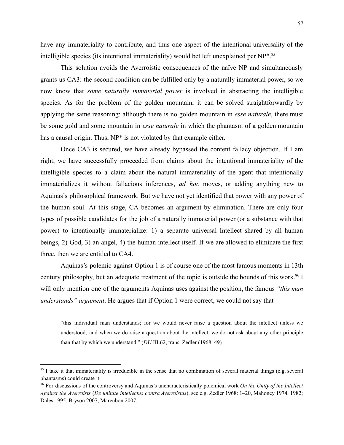have any immateriality to contribute, and thus one aspect of the intentional universality of the intelligible species (its intentional immateriality) would bet left unexplained per NP\*.<sup>85</sup>

This solution avoids the Averroistic consequences of the naïve NP and simultaneously grants us CA3: the second condition can be fulfilled only by a naturally immaterial power, so we now know that *some naturally immaterial power* is involved in abstracting the intelligible species. As for the problem of the golden mountain, it can be solved straightforwardly by applying the same reasoning: although there is no golden mountain in *esse naturale*, there must be some gold and some mountain in *esse naturale* in which the phantasm of a golden mountain has a causal origin. Thus, NP<sup>\*</sup> is not violated by that example either.

Once CA3 is secured, we have already bypassed the content fallacy objection. If I am right, we have successfully proceeded from claims about the intentional immateriality of the intelligible species to a claim about the natural immateriality of the agent that intentionally immaterializes it without fallacious inferences, *ad hoc* moves, or adding anything new to Aquinas's philosophical framework. But we have not yet identified that power with any power of the human soul. At this stage, CA becomes an argument by elimination. There are only four types of possible candidates for the job of a naturally immaterial power (or a substance with that power) to intentionally immaterialize: 1) a separate universal Intellect shared by all human beings, 2) God, 3) an angel, 4) the human intellect itself. If we are allowed to eliminate the first three, then we are entitled to CA4.

Aquinas's polemic against Option 1 is of course one of the most famous moments in 13th century philosophy, but an adequate treatment of the topic is outside the bounds of this work.<sup>86</sup> I will only mention one of the arguments Aquinas uses against the position, the famous *"this man understands" argument*. He argues that if Option 1 were correct, we could not say that

"this individual man understands; for we would never raise a question about the intellect unless we understood; and when we do raise a question about the intellect, we do not ask about any other principle than that by which we understand." (*DU* III.62, trans. Zedler (1968: 49)

 $85$  I take it that immateriality is irreducible in the sense that no combination of several material things (e.g. several phantasms) could create it.

<sup>86</sup> For discussions of the controversy and Aquinas's uncharacteristically polemical work *On the Unity of the Intellect Against the Averroists* (*De unitate intellectus contra Averroistas*), see e.g. Zedler 1968: 1–20, Mahoney 1974, 1982; Dales 1995, Bryson 2007, Marenbon 2007.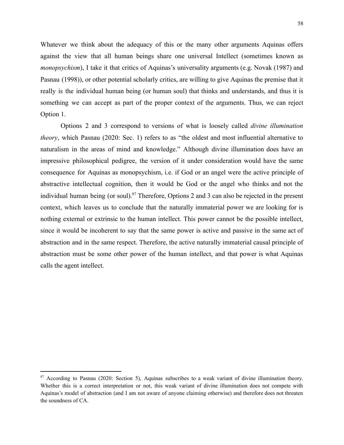Whatever we think about the adequacy of this or the many other arguments Aquinas offers against the view that all human beings share one universal Intellect (sometimes known as *monopsychism*), I take it that critics of Aquinas's universality arguments (e.g. Novak (1987) and Pasnau (1998)), or other potential scholarly critics, are willing to give Aquinas the premise that it really is the individual human being (or human soul) that thinks and understands, and thus it is something we can accept as part of the proper context of the arguments. Thus, we can reject Option 1.

Options 2 and 3 correspond to versions of what is loosely called *divine illumination theory*, which Pasnau (2020: Sec. 1) refers to as "the oldest and most influential alternative to naturalism in the areas of mind and knowledge." Although divine illumination does have an impressive philosophical pedigree, the version of it under consideration would have the same consequence for Aquinas as monopsychism, i.e. if God or an angel were the active principle of abstractive intellectual cognition, then it would be God or the angel who thinks and not the individual human being (or soul).<sup>87</sup> Therefore, Options 2 and 3 can also be rejected in the present context, which leaves us to conclude that the naturally immaterial power we are looking for is nothing external or extrinsic to the human intellect. This power cannot be the possible intellect, since it would be incoherent to say that the same power is active and passive in the same act of abstraction and in the same respect. Therefore, the active naturally immaterial causal principle of abstraction must be some other power of the human intellect, and that power is what Aquinas calls the agent intellect.

<sup>87</sup> According to Pasnau (2020: Section 5), Aquinas subscribes to a weak variant of divine illumination theory. Whether this is a correct interpretation or not, this weak variant of divine illumination does not compete with Aquinas's model of abstraction (and I am not aware of anyone claiming otherwise) and therefore does not threaten the soundness of CA.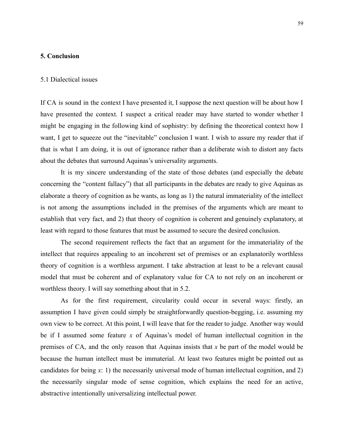#### <span id="page-59-0"></span>**5. Conclusion**

#### <span id="page-59-1"></span>5.1 Dialectical issues

If CA is sound in the context I have presented it, I suppose the next question will be about how I have presented the context. I suspect a critical reader may have started to wonder whether I might be engaging in the following kind of sophistry: by defining the theoretical context how I want, I get to squeeze out the "inevitable" conclusion I want. I wish to assure my reader that if that is what I am doing, it is out of ignorance rather than a deliberate wish to distort any facts about the debates that surround Aquinas's universality arguments.

It is my sincere understanding of the state of those debates (and especially the debate concerning the "content fallacy") that all participants in the debates are ready to give Aquinas as elaborate a theory of cognition as he wants, as long as 1) the natural immateriality of the intellect is not among the assumptions included in the premises of the arguments which are meant to establish that very fact, and 2) that theory of cognition is coherent and genuinely explanatory, at least with regard to those features that must be assumed to secure the desired conclusion.

The second requirement reflects the fact that an argument for the immateriality of the intellect that requires appealing to an incoherent set of premises or an explanatorily worthless theory of cognition is a worthless argument. I take abstraction at least to be a relevant causal model that must be coherent and of explanatory value for CA to not rely on an incoherent or worthless theory. I will say something about that in 5.2.

As for the first requirement, circularity could occur in several ways: firstly, an assumption I have given could simply be straightforwardly question-begging, i.e. assuming my own view to be correct. At this point, I will leave that for the reader to judge. Another way would be if I assumed some feature *x* of Aquinas's model of human intellectual cognition in the premises of CA, and the only reason that Aquinas insists that *x* be part of the model would be because the human intellect must be immaterial. At least two features might be pointed out as candidates for being *x*: 1) the necessarily universal mode of human intellectual cognition, and 2) the necessarily singular mode of sense cognition, which explains the need for an active, abstractive intentionally universalizing intellectual power.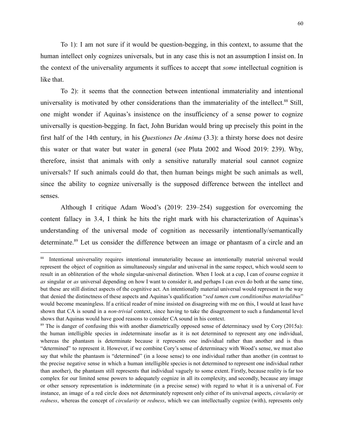To 1): I am not sure if it would be question-begging, in this context, to assume that the human intellect only cognizes universals, but in any case this is not an assumption I insist on. In the context of the universality arguments it suffices to accept that *some* intellectual cognition is like that.

To 2): it seems that the connection between intentional immateriality and intentional universality is motivated by other considerations than the immateriality of the intellect.<sup>88</sup> Still, one might wonder if Aquinas's insistence on the insufficiency of a sense power to cognize universally is question-begging. In fact, John Buridan would bring up precisely this point in the first half of the 14th century, in his *Questiones De Anima* (3.3): a thirsty horse does not desire this water or that water but water in general (see Pluta 2002 and Wood 2019: 239). Why, therefore, insist that animals with only a sensitive naturally material soul cannot cognize universals? If such animals could do that, then human beings might be such animals as well, since the ability to cognize universally is the supposed difference between the intellect and senses.

Although I critique Adam Wood's (2019: 239–254) suggestion for overcoming the content fallacy in 3.4, I think he hits the right mark with his characterization of Aquinas's understanding of the universal mode of cognition as necessarily intentionally/semantically determinate.<sup>89</sup> Let us consider the difference between an image or phantasm of a circle and an

<sup>88</sup> Intentional universality requires intentional immateriality because an intentionally material universal would represent the object of cognition as simultaneously singular and universal in the same respect, which would seem to result in an obliteration of the whole singular-universal distinction. When I look at a cup, I can of course cognize it *as* singular or *as* universal depending on how I want to consider it, and perhaps I can even do both at the same time, but these are still distinct aspects of the cognitive act. An intentionally material universal would represent in the way that denied the distinctness of these aspects and Aquinas's qualification "*sed tamen cum conditionibus materialibus*" would become meaningless. If a critical reader of mine insisted on disagreeing with me on this, I would at least have shown that CA is sound in a *non-trivial* context, since having to take the disagreement to such a fundamental level shows that Aquinas would have good reasons to consider CA sound in his context.

<sup>&</sup>lt;sup>89</sup> The is danger of confusing this with another diametrically opposed sense of determinacy used by Cory (2015a): the human intelligible species in *in*determinate insofar as it is not determined to represent any one individual, whereas the phantasm is determinate because it represents one individual rather than another and is thus "determined" to represent it. However, if we combine Cory's sense of determinacy with Wood's sense, we must also say that while the phantasm is "determined" (in a loose sense) to one individual rather than another (in contrast to the precise negative sense in which a human intelligible species is not determined to represent one individual rather than another), the phantasm still represents that individual vaguely to some extent. Firstly, because reality is far too complex for our limited sense powers to adequately cognize in all its complexity, and secondly, because any image or other sensory representation is indeterminate (in a precise sense) with regard to what it is a universal of. For instance, an image of a red circle does not determinately represent only either of its universal aspects, *circularity* or *redness*, whereas the concept of *circularity* or *redness*, which we can intellectually cognize (with), represents only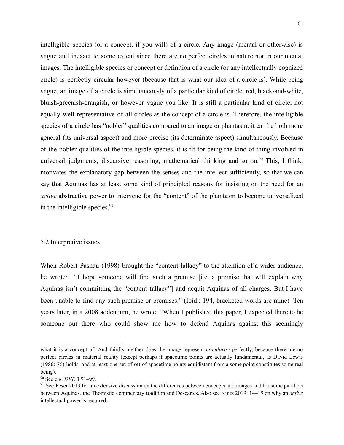intelligible species (or a concept, if you will) of a circle. Any image (mental or otherwise) is vague and inexact to some extent since there are no perfect circles in nature nor in our mental images. The intelligible species or concept or definition of a circle (or any intellectually cognized circle) is perfectly circular however (because that is what our idea of a circle is). While being vague, an image of a circle is simultaneously of a particular kind of circle: red, black-and-white, bluish-greenish-orangish, or however vague you like. It is still a particular kind of circle, not equally well representative of all circles as the concept of a circle is. Therefore, the intelligible species of a circle has "nobler" qualities compared to an image or phantasm: it can be both more general (its universal aspect) and more precise (its determinate aspect) simultaneously. Because of the nobler qualities of the intelligible species, it is fit for being the kind of thing involved in universal judgments, discursive reasoning, mathematical thinking and so on.<sup>90</sup> This, I think, motivates the explanatory gap between the senses and the intellect sufficiently, so that we can say that Aquinas has at least some kind of principled reasons for insisting on the need for an *active* abstractive power to intervene for the "content" of the phantasm to become universalized in the intelligible species. $91$ 

#### <span id="page-61-0"></span>5.2 Interpretive issues

When Robert Pasnau (1998) brought the "content fallacy" to the attention of a wider audience, he wrote: "I hope someone will find such a premise [i.e. a premise that will explain why Aquinas isn't committing the "content fallacy"] and acquit Aquinas of all charges. But I have been unable to find any such premise or premises." (Ibid.: 194, bracketed words are mine) Ten years later, in a 2008 addendum, he wrote: "When I published this paper, I expected there to be someone out there who could show me how to defend Aquinas against this seemingly

what it is a concept of. And thirdly, neither does the image represent *circularity* perfectly, because there are no perfect circles in material reality (except perhaps if spacetime points are actually fundamental, as David Lewis (1986: 76) holds, and at least one set of set of spacetime points equidistant from a some point constitutes some real being).

<sup>90</sup> See e.g. *DEE* 3.91–99.

<sup>&</sup>lt;sup>91</sup> See Feser 2013 for an extensive discussion on the differences between concepts and images and for some parallels between Aquinas, the Thomistic commentary tradition and Descartes. Also see Kintz 2019: 14–15 on why an *active* intellectual power is required.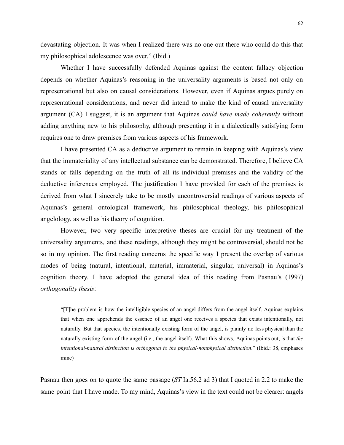devastating objection. It was when I realized there was no one out there who could do this that my philosophical adolescence was over." (Ibid.)

Whether I have successfully defended Aquinas against the content fallacy objection depends on whether Aquinas's reasoning in the universality arguments is based not only on representational but also on causal considerations. However, even if Aquinas argues purely on representational considerations, and never did intend to make the kind of causal universality argument (CA) I suggest, it is an argument that Aquinas *could have made coherently* without adding anything new to his philosophy, although presenting it in a dialectically satisfying form requires one to draw premises from various aspects of his framework.

I have presented CA as a deductive argument to remain in keeping with Aquinas's view that the immateriality of any intellectual substance can be demonstrated. Therefore, I believe CA stands or falls depending on the truth of all its individual premises and the validity of the deductive inferences employed. The justification I have provided for each of the premises is derived from what I sincerely take to be mostly uncontroversial readings of various aspects of Aquinas's general ontological framework, his philosophical theology, his philosophical angelology, as well as his theory of cognition.

However, two very specific interpretive theses are crucial for my treatment of the universality arguments, and these readings, although they might be controversial, should not be so in my opinion. The first reading concerns the specific way I present the overlap of various modes of being (natural, intentional, material, immaterial, singular, universal) in Aquinas's cognition theory. I have adopted the general idea of this reading from Pasnau's (1997) *orthogonality thesis*:

"[T]he problem is how the intelligible species of an angel differs from the angel itself. Aquinas explains that when one apprehends the essence of an angel one receives a species that exists intentionally, not naturally. But that species, the intentionally existing form of the angel, is plainly no less physical than the naturally existing form of the angel (i.e., the angel itself). What this shows, Aquinas points out, is that *the intentional-natural distinction is orthogonal to the physical-nonphysical distinction*." (Ibid.: 38, emphases mine)

Pasnau then goes on to quote the same passage (*ST* Ia.56.2 ad 3) that I quoted in 2.2 to make the same point that I have made. To my mind, Aquinas's view in the text could not be clearer: angels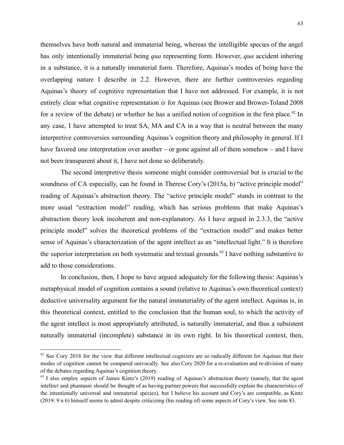themselves have both natural and immaterial being, whereas the intelligible species of the angel has only intentionally immaterial being *qua* representing form. However, *qua* accident inhering in a substance, it is a naturally immaterial form. Therefore, Aquinas's modes of being have the overlapping nature I describe in 2.2. However, there are further controversies regarding Aquinas's theory of cognitive representation that I have not addressed. For example, it is not entirely clear what cognitive representation *is* for Aquinas (see Brower and Brower-Toland 2008 for a review of the debate) or whether he has a unified notion of cognition in the first place.<sup>92</sup> In any case, I have attempted to treat SA, MA and CA in a way that is neutral between the many interpretive controversies surrounding Aquinas's cognition theory and philosophy in general. If I have favored one interpretation over another – or gone against all of them somehow – and I have not been transparent about it, I have not done so deliberately.

The second interpretive thesis someone might consider controversial but is crucial to the soundness of CA especially, can be found in Therese Cory's (2015a, b) "active principle model" reading of Aquinas's abstraction theory. The "active principle model" stands in contrast to the more usual "extraction model" reading, which has serious problems that make Aquinas's abstraction theory look incoherent and non-explanatory. As I have argued in 2.3.3, the "active principle model" solves the theoretical problems of the "extraction model" and makes better sense of Aquinas's characterization of the agent intellect as an "intellectual light." It is therefore the superior interpretation on both systematic and textual grounds.<sup>93</sup> I have nothing substantive to add to those considerations.

In conclusion, then, I hope to have argued adequately for the following thesis: Aquinas's metaphysical model of cognition contains a sound (relative to Aquinas's own theoretical context) deductive universality argument for the natural immateriality of the agent intellect. Aquinas is, in this theoretical context, entitled to the conclusion that the human soul, to which the activity of the agent intellect is most appropriately attributed, is naturally immaterial, and thus a subsistent naturally immaterial (incomplete) substance in its own right. In his theoretical context, then,

 $92$  See Cory 2018 for the view that different intellectual cognizers are so radically different for Aquinas that their modes of cognition cannot be compared univocally. See also Cory 2020 for a re-evaluation and re-division of many of the debates regarding Aquinas's cognition theory.

<sup>&</sup>lt;sup>93</sup> I also employ aspects of James Kintz's (2019) reading of Aquinas's abstraction theory (namely, that the agent intellect and phantasm should be thought of as having partner powers that successfully explain the characteristics of the intentionally universal and immaterial species), but I believe his account and Cory's are compatible, as Kintz (2019: 9 n 6) himself seems to admit despite criticizing (his reading of) some aspects of Cory's view. See note 83.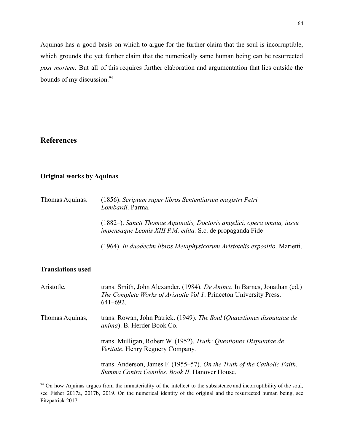Aquinas has a good basis on which to argue for the further claim that the soul is incorruptible, which grounds the yet further claim that the numerically same human being can be resurrected *post mortem*. But all of this requires further elaboration and argumentation that lies outside the bounds of my discussion.<sup>94</sup>

# <span id="page-64-0"></span>**References**

## <span id="page-64-1"></span>**Original works by Aquinas**

| Thomas Aquinas. | (1856). Scriptum super libros Sententiarum magistri Petri<br>Lombardi. Parma.                                                                |
|-----------------|----------------------------------------------------------------------------------------------------------------------------------------------|
|                 | (1882–). Sancti Thomae Aquinatis, Doctoris angelici, opera omnia, iussu<br><i>impensaque Leonis XIII P.M. edita.</i> S.c. de propaganda Fide |
|                 | (1964). In duodecim libros Metaphysicorum Aristotelis expositio. Marietti.                                                                   |

## <span id="page-64-2"></span>**Translations used**

| Aristotle,      | trans. Smith, John Alexander. (1984). <i>De Anima</i> . In Barnes, Jonathan (ed.)<br><i>The Complete Works of Aristotle Vol 1.</i> Princeton University Press.<br>$641 - 692.$ |
|-----------------|--------------------------------------------------------------------------------------------------------------------------------------------------------------------------------|
| Thomas Aquinas, | trans. Rowan, John Patrick. (1949). The Soul (Quaestiones disputatae de<br><i>anima</i> ). B. Herder Book Co.                                                                  |
|                 | trans. Mulligan, Robert W. (1952). Truth: Questiones Disputatae de<br>Veritate. Henry Regnery Company.                                                                         |
|                 | trans. Anderson, James F. (1955–57). On the Truth of the Catholic Faith.<br>Summa Contra Gentiles. Book II. Hanover House.                                                     |

<sup>&</sup>lt;sup>94</sup> On how Aquinas argues from the immateriality of the intellect to the subsistence and incorruptibility of the soul, see Fisher 2017a, 2017b, 2019. On the numerical identity of the original and the resurrected human being, see Fitzpatrick 2017.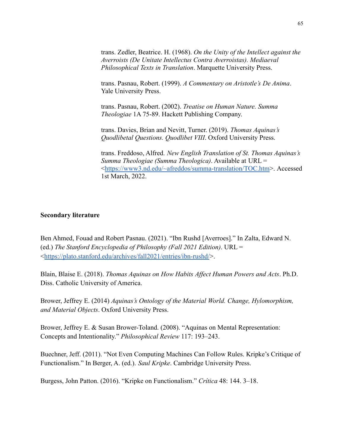trans. Zedler, Beatrice. H. (1968). *On the Unity of the Intellect against the Averroists (De Unitate Intellectus Contra Averroistas). Mediaeval Philosophical Texts in Translation*. Marquette University Press.

trans. Pasnau, Robert. (1999). *A Commentary on Aristotle's De Anima*. Yale University Press.

trans. Pasnau, Robert. (2002). *Treatise on Human Nature. Summa Theologiae* 1A 75-89. Hackett Publishing Company.

trans. Davies, Brian and Nevitt, Turner. (2019). *Thomas Aquinas's Quodlibetal Questions. Quodlibet VIII*. Oxford University Press.

trans. Freddoso, Alfred. *New English Translation of St. Thomas Aquinas's Summa Theologiae (Summa Theologica)*. Available at URL = <<https://www3.nd.edu/~afreddos/summa-translation/TOC.htm>>. Accessed 1st March, 2022.

#### <span id="page-65-0"></span>**Secondary literature**

Ben Ahmed, Fouad and Robert Pasnau. (2021). "Ibn Rushd [Averroes]." In Zalta, Edward N. (ed.) *The Stanford Encyclopedia of Philosophy (Fall 2021 Edition)*. URL = <<https://plato.stanford.edu/archives/fall2021/entries/ibn-rushd/>>.

Blain, Blaise E. (2018). *Thomas Aquinas on How Habits Affect Human Powers and Acts*. Ph.D. Diss. Catholic University of America.

Brower, Jeffrey E. (2014) *Aquinas's Ontology of the Material World. Change, Hylomorphism, and Material Objects*. Oxford University Press.

Brower, Jeffrey E. & Susan Brower-Toland. (2008). "Aquinas on Mental Representation: Concepts and Intentionality." *Philosophical Review* 117: 193–243.

Buechner, Jeff. (2011). "Not Even Computing Machines Can Follow Rules. Kripke's Critique of Functionalism." In Berger, A. (ed.). *Saul Kripke*. Cambridge University Press.

Burgess, John Patton. (2016). "Kripke on Functionalism." *Crítica* 48: 144. 3–18.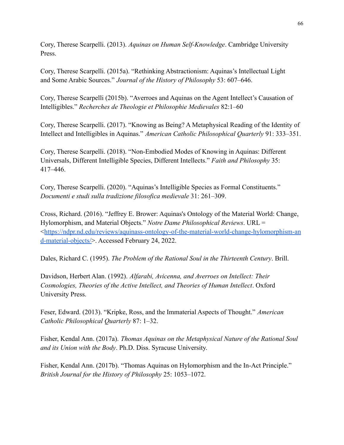Cory, Therese Scarpelli. (2013). *Aquinas on Human Self-Knowledge*. Cambridge University Press.

Cory, Therese Scarpelli. (2015a). "Rethinking Abstractionism: Aquinas's Intellectual Light and Some Arabic Sources." *Journal of the History of Philosophy* 53: 607–646.

Cory, Therese Scarpelli (2015b). "Averroes and Aquinas on the Agent Intellect's Causation of Intelligibles." *Recherches de Theologie et Philosophie Medievales* 82:1–60

Cory, Therese Scarpelli. (2017). "Knowing as Being? A Metaphysical Reading of the Identity of Intellect and Intelligibles in Aquinas." *American Catholic Philosophical Quarterly* 91: 333–351.

Cory, Therese Scarpelli. (2018). "Non-Embodied Modes of Knowing in Aquinas: Different Universals, Different Intelligible Species, Different Intellects." *Faith and Philosophy* 35: 417–446.

Cory, Therese Scarpelli. (2020). "Aquinas's Intelligible Species as Formal Constituents." *Documenti e studi sulla tradizione filosofica medievale* 31: 261–309.

Cross, Richard. (2016). "Jeffrey E. Brower: Aquinas's Ontology of the Material World: Change, Hylomorphism, and Material Objects." *Notre Dame Philosophical Reviews*. URL = <[https://ndpr.nd.edu/reviews/aquinass-ontology-of-the-material-world-change-hylomorphism-an](https://ndpr.nd.edu/reviews/aquinass-ontology-of-the-material-world-change-hylomorphism-and-material-objects/) [d-material-objects/>](https://ndpr.nd.edu/reviews/aquinass-ontology-of-the-material-world-change-hylomorphism-and-material-objects/). Accessed February 24, 2022.

Dales, Richard C. (1995). *The Problem of the Rational Soul in the Thirteenth Century*. Brill.

Davidson, Herbert Alan. (1992). *Alfarabi, Avicenna, and Averroes on Intellect: Their Cosmologies, Theories of the Active Intellect, and Theories of Human Intellect*. Oxford University Press.

Feser, Edward. (2013). "Kripke, Ross, and the Immaterial Aspects of Thought." *American Catholic Philosophical Quarterly* 87: 1–32.

Fisher, Kendal Ann. (2017a). *Thomas Aquinas on the Metaphysical Nature of the Rational Soul and its Union with the Body*. Ph.D. Diss. Syracuse University.

Fisher, Kendal Ann. (2017b). "Thomas Aquinas on Hylomorphism and the In-Act Principle." *British Journal for the History of Philosophy* 25: 1053–1072.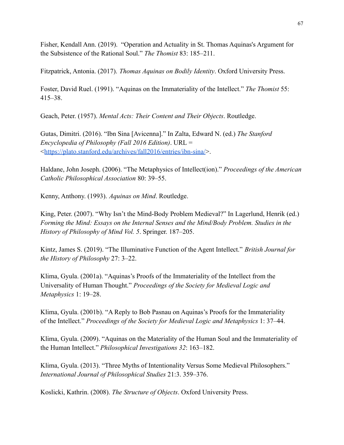Fisher, Kendall Ann. (2019). "Operation and Actuality in St. Thomas Aquinas's Argument for the Subsistence of the Rational Soul." *The Thomist* 83: 185–211.

Fitzpatrick, Antonia. (2017). *Thomas Aquinas on Bodily Identity*. Oxford University Press.

Foster, David Ruel. (1991). "Aquinas on the Immateriality of the Intellect." *The Thomist* 55: 415–38.

Geach, Peter. (1957). *Mental Acts: Their Content and Their Objects*. Routledge.

Gutas, Dimitri. (2016). "Ibn Sina [Avicenna]." In Zalta, Edward N. (ed.) *The Stanford Encyclopedia of Philosophy (Fall 2016 Edition)*. URL = <<https://plato.stanford.edu/archives/fall2016/entries/ibn-sina/>>.

Haldane, John Joseph. (2006). "The Metaphysics of Intellect(ion)." *Proceedings of the American Catholic Philosophical Association* 80: 39–55.

Kenny, Anthony. (1993). *Aquinas on Mind*. Routledge.

King, Peter. (2007). "Why Isn't the Mind-Body Problem Medieval?" In Lagerlund, Henrik (ed.) *Forming the Mind: Essays on the Internal Senses and the Mind/Body Problem. Studies in the History of Philosophy of Mind Vol. 5*. Springer. 187–205.

Kintz, James S. (2019). "The Illuminative Function of the Agent Intellect." *British Journal for the History of Philosophy* 27: 3–22.

Klima, Gyula. (2001a). "Aquinas's Proofs of the Immateriality of the Intellect from the Universality of Human Thought." *Proceedings of the Society for Medieval Logic and Metaphysics* 1: 19–28.

Klima, Gyula. (2001b). "A Reply to Bob Pasnau on Aquinas's Proofs for the Immateriality of the Intellect." *Proceedings of the Society for Medieval Logic and Metaphysics* 1: 37–44.

Klima, Gyula. (2009). "Aquinas on the Materiality of the Human Soul and the Immateriality of the Human Intellect." *Philosophical Investigations 32*: 163–182.

Klima, Gyula. (2013). "Three Myths of Intentionality Versus Some Medieval Philosophers." *International Journal of Philosophical Studies* 21:3. 359–376.

Koslicki, Kathrin. (2008). *The Structure of Objects*. Oxford University Press.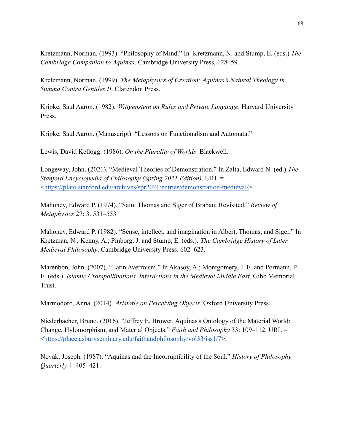Kretzmann, Norman. (1993). "Philosophy of Mind." In Kretzmann, N. and Stump, E. (eds.) *The Cambridge Companion to Aquinas*. Cambridge University Press, 128–59.

Kretzmann, Norman. (1999). *The Metaphysics of Creation: Aquinas's Natural Theology in Summa Contra Gentiles II*. Clarendon Press.

Kripke, Saul Aaron. (1982). *Wittgenstein on Rules and Private Language*. Harvard University Press.

Kripke, Saul Aaron. (Manuscript). "Lessons on Functionalism and Automata."

Lewis, David Kellogg. (1986). *On the Plurality of Worlds*. Blackwell.

Longeway, John. (2021). "Medieval Theories of Demonstration." In Zalta, Edward N. (ed.) *The Stanford Encyclopedia of Philosophy (Spring 2021 Edition)*. URL = <[https://plato.stanford.edu/archives/spr2021/entries/demonstration-medieval/>](https://plato.stanford.edu/archives/spr2021/entries/demonstration-medieval/).

Mahoney, Edward P. (1974). "Saint Thomas and Siger of Brabant Revisited." *Review of Metaphysics* 27: 3. 531–553

Mahoney, Edward P. (1982). "Sense, intellect, and imagination in Albert, Thomas, and Siger." In Kretzman, N.; Kenny, A.; Pinborg, J. and Stump, E. (eds.). *The Cambridge History of Later Medieval Philosophy*. Cambridge University Press. 602–623.

Marenbon, John. (2007). "Latin Averroism." In Akasoy, A.; Montgomery, J. E. and Pormann, P. E. (eds.). *Islamic Crosspollinations. Interactions in the Medieval Middle East*. Gibb Memorial Trust.

Marmodoro, Anna. (2014). *Aristotle on Perceiving Objects*. Oxford University Press.

Niederbacher, Bruno. (2016). "Jeffrey E. Brower, Aquinas's Ontology of the Material World: Change, Hylomorphism, and Material Objects." *Faith and Philosophy* 33: 109–112. URL = <[https://place.asburyseminary.edu/faithandphilosophy/vol33/iss1/7>](https://place.asburyseminary.edu/faithandphilosophy/vol33/iss1/7).

Novak, Joseph. (1987). "Aquinas and the Incorruptibility of the Soul." *History of Philosophy Quarterly* 4: 405–421.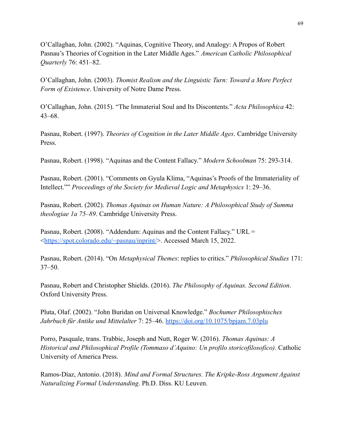O'Callaghan, John. (2002). "Aquinas, Cognitive Theory, and Analogy: A Propos of Robert Pasnau's Theories of Cognition in the Later Middle Ages." *American Catholic Philosophical Quarterly* 76: 451–82.

O'Callaghan, John. (2003). *Thomist Realism and the Linguistic Turn: Toward a More Perfect Form of Existence*. University of Notre Dame Press.

O'Callaghan, John. (2015). "The Immaterial Soul and Its Discontents." *Acta Philosophica* 42: 43–68.

Pasnau, Robert. (1997). *Theories of Cognition in the Later Middle Ages*. Cambridge University Press.

Pasnau, Robert. (1998). "Aquinas and the Content Fallacy." *Modern Schoolman* 75: 293-314.

Pasnau, Robert. (2001). "Comments on Gyula Klima, "Aquinas's Proofs of the Immateriality of Intellect."" *Proceedings of the Society for Medieval Logic and Metaphysics* 1: 29–36.

Pasnau, Robert. (2002). *Thomas Aquinas on Human Nature: A Philosophical Study of Summa theologiae 1a 75–89*. Cambridge University Press.

Pasnau, Robert. (2008). "Addendum: Aquinas and the Content Fallacy." URL = <<https://spot.colorado.edu/~pasnau/inprint/>>. Accessed March 15, 2022.

Pasnau, Robert. (2014). "On *Metaphysical Themes*: replies to critics." *Philosophical Studies* 171: 37–50.

Pasnau, Robert and Christopher Shields. (2016). *The Philosophy of Aquinas. Second Edition*. Oxford University Press.

Pluta, Olaf. (2002). "John Buridan on Universal Knowledge." *Bochumer Philosophisches Jahrbuch für Antike und Mittelalter* 7: 25–46. <https://doi.org/10.1075/bpjam.7.03plu>

Porro, Pasquale, trans. Trabbic, Joseph and Nutt, Roger W. (2016). *Thomas Aquinas: A Historical and Philosophical Profile (Tommaso d'Aquino: Un profilo storicofilosofico)*. Catholic University of America Press.

Ramos-Díaz, Antonio. (2018). *Mind and Formal Structures. The Kripke-Ross Argument Against Naturalizing Formal Understanding*. Ph.D. Diss. KU Leuven.